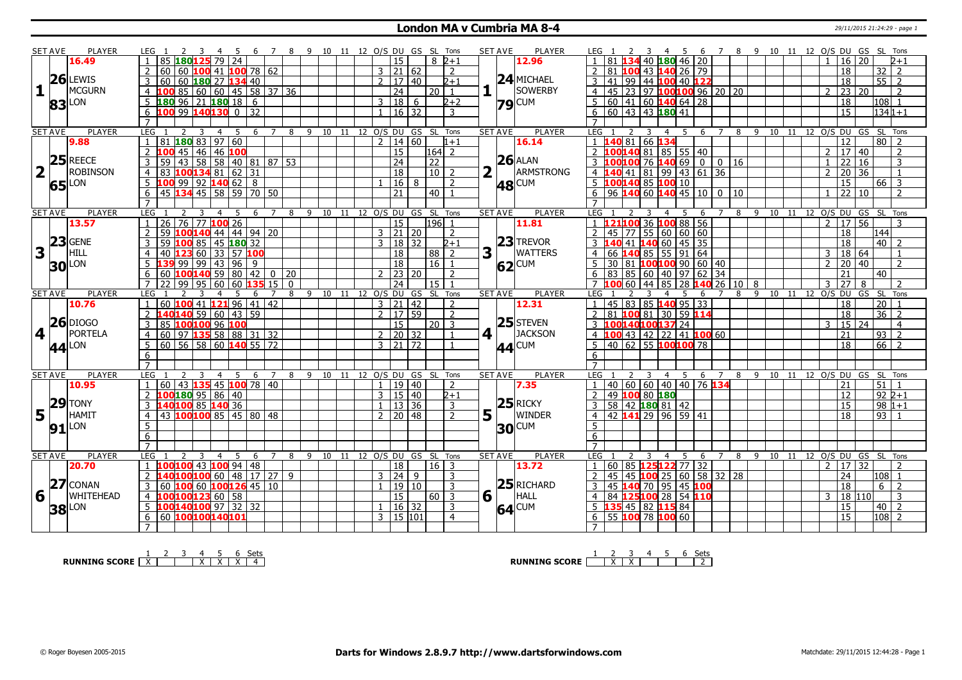#### **London MA v Cumbria MA 8-4** 29/11/2015 21:24:29 - page 1

|                         | SET AVE             | <b>PLAYER</b>       | LEG 1<br>4                                                                   | -5<br>- 6<br>$\overline{7}$ |                                            | 8 9 10 11 12 O/S DU GS SL Tons |  |                                  |                          |                 |               |                  | <b>SET AVE</b><br>PLAYER                 | LEG 1<br>45                                                  | 6                    |   |         |    | 7 8 9 10 11 12 O/S DU GS SL Tons   |                     |                   |                |
|-------------------------|---------------------|---------------------|------------------------------------------------------------------------------|-----------------------------|--------------------------------------------|--------------------------------|--|----------------------------------|--------------------------|-----------------|---------------|------------------|------------------------------------------|--------------------------------------------------------------|----------------------|---|---------|----|------------------------------------|---------------------|-------------------|----------------|
|                         |                     | 16.49               | 85 180125 79 24                                                              |                             |                                            |                                |  | 15                               |                          |                 | $8\,$ 2+1     |                  | 12.96                                    | <b>180</b> 46 20<br>40                                       |                      |   |         |    |                                    | $16 \mid 20$        |                   | $2 + 1$        |
|                         |                     |                     | 60 60 $100$ 41 $100$ 78 62                                                   |                             |                                            |                                |  | 3   21   62                      |                          |                 | 2             |                  |                                          | 81<br>100 43 140 26 79                                       |                      |   |         |    |                                    | 18                  | 32                | 2              |
|                         |                     | $26$ LEWIS          | 60 180 27 134 40<br>3<br>60                                                  |                             |                                            |                                |  | $\mathcal{P}$                    | 17   40                  |                 | $2 + 1$       |                  | $24$ MICHAEL                             | 3<br>99<br>44<br>41<br>100 40 122                            |                      |   |         |    |                                    | 18                  | 55                | 2              |
| 1                       |                     | MCGURN              | $4 \vert 100 \vert 85 \vert 60 \vert 60 \vert 45 \vert 58 \vert 37 \vert 36$ |                             |                                            |                                |  | $\overline{24}$                  |                          | $20$   1        |               | 1                | <b>SOWERBY</b>                           | $\overline{4}$<br>45 23 97 100 100 96 20 20                  |                      |   |         |    |                                    | $2 \mid 23 \mid 20$ |                   | $\mathcal{L}$  |
|                         |                     |                     | $18096$ 21 180 18 6<br>.5                                                    |                             |                                            |                                |  | 18 <br>3                         | 6                        |                 | $2 + 2$       |                  |                                          | 5<br>  41   60   140   64   28<br>60                         |                      |   |         |    |                                    | 18                  | $ 108 $ 1         |                |
|                         |                     | <b>83</b> LON       | $6 \,$ 100 99 140 130 0 32                                                   |                             |                                            |                                |  |                                  | $16 \mid 32$             |                 | 3             |                  | <b>79</b> CUM                            | 6<br>$60$ 43 43 180 41                                       |                      |   |         |    |                                    | 15                  | $1341+1$          |                |
|                         |                     |                     |                                                                              |                             |                                            |                                |  |                                  |                          |                 |               |                  |                                          | $\overline{7}$                                               |                      |   |         |    |                                    |                     |                   |                |
|                         | <b>SET AVE</b>      | <b>PLAYER</b>       | LEG<br>4                                                                     | -5                          |                                            | 6 7 8 9 10 11 12 0/S DU GS SL  |  |                                  |                          |                 | Tons          |                  | <b>SET AVE</b><br>PLAYER                 | <b>LEG</b><br>5<br>3<br>$\overline{4}$                       |                      |   |         |    | 6 7 8 9 10 11 12 0/S DU GS SL Tons |                     |                   |                |
|                         |                     | 9.88                | $81$ 180 83 97 60<br>$\mathbf{1}$                                            |                             |                                            |                                |  | $2 \mid 14 \mid 60$              |                          |                 | $1 + 1$       |                  | 16.14                                    | <b>140</b> 81<br>66 134<br>$\mathbf{1}$                      |                      |   |         |    |                                    | 12                  | 80 2              |                |
|                         |                     |                     | 2<br>100 45   46   46 <mark>100</mark>                                       |                             |                                            |                                |  | 15                               |                          | $ 164 $ 2       |               |                  |                                          | $\overline{2}$<br>100 140 81 85 55 40                        |                      |   |         |    |                                    | $2 \mid 17 \mid 40$ |                   | $\overline{2}$ |
|                         |                     | $25$ REECE          | 59 43 58 58 40 81 87 53<br>3                                                 |                             |                                            |                                |  | 24                               |                          | 22              |               |                  | $26$ ALAN                                | $\overline{3}$<br>14069001016<br><b>100</b> 76               |                      |   |         |    |                                    | 22 16               |                   | 3              |
| $\overline{\mathbf{2}}$ | $\mathbf{L}$        | <b>ROBINSON</b>     | 83 100134 81 62 31                                                           |                             |                                            |                                |  | $\overline{18}$                  |                          | $\overline{10}$ |               |                  | ARMSTRONG<br>H.                          | $ 81\rangle$<br>99<br>$\overline{4}$<br>41                   | $43 \mid 61 \mid 36$ |   |         |    |                                    | 20 <sup>°</sup>     | $\overline{36}$   | $\mathbf{1}$   |
|                         |                     |                     |                                                                              |                             |                                            |                                |  |                                  |                          |                 | $\mathcal{P}$ |                  |                                          | 100140 85 100 10                                             |                      |   |         |    |                                    | $\overline{15}$     |                   |                |
|                         |                     | $65$ <sup>LON</sup> | $5 \, 100 \, 99 \, 92 \, 140 \, 62 \, 8$                                     |                             |                                            |                                |  |                                  | $16 \mid 8$              |                 |               |                  | <b>48 CUM</b>                            | $\overline{5}$                                               |                      |   |         |    |                                    |                     | $66 \overline{3}$ |                |
|                         |                     |                     | 45 134 45 58 59 70 50<br>6<br>$\overline{7}$                                 |                             |                                            |                                |  | 21                               |                          | 40              |               |                  |                                          | 6<br>140 60 140 45 10 0 10<br>$\overline{96}$                |                      |   |         |    |                                    | 22 10               |                   | $\mathcal{L}$  |
|                         |                     |                     |                                                                              |                             |                                            |                                |  |                                  |                          |                 |               |                  |                                          |                                                              |                      |   |         |    |                                    |                     |                   |                |
|                         | <b>SET AVE</b>      | <b>PLAYER</b>       | <b>LEG</b><br>$26$ 76 77 100 26<br>1 <sup>1</sup>                            | 6                           | $\overline{7}$<br>8                        | 9 10 11 12 0/S DU GS SL Tons   |  | 15                               |                          | $196$ 1         |               |                  | <b>PLAYER</b><br><b>SET AVE</b><br>11.81 | LEG<br>5<br>121100 36 100 88 56<br>$\mathbf{1}$              | 6<br>$\overline{7}$  | 8 | 9<br>10 |    | 11 12 0/S DU GS SL Tons            | $2 \mid 17 \mid 56$ |                   | 3              |
|                         |                     | 13.57               | 59 100 140 44 44 94 20<br>$\overline{2}$                                     |                             |                                            |                                |  | $3 \mid 21 \mid 20$              |                          |                 |               |                  |                                          | 55 60  <br>45                                                | 60 60                |   |         |    |                                    | 18                  | 144               |                |
|                         |                     | $ 23 $ GENE         | 3                                                                            |                             |                                            |                                |  |                                  |                          |                 | 2             |                  | $23$ TREVOR                              | $\overline{2}$<br>77<br>$\overline{3}$<br>41                 |                      |   |         |    |                                    | 18                  | 40   2            |                |
| 3                       |                     | HILL                | 59 100 85 45 180 32                                                          |                             |                                            |                                |  | 3   18   32                      |                          |                 | $2 + 1$       |                  | <b>WATTERS</b><br>l t                    | $140$ 60   45   35                                           |                      |   |         |    |                                    |                     |                   | $\mathbf{1}$   |
|                         |                     |                     | 40 123 60 33 57 100<br>$\overline{4}$                                        |                             |                                            |                                |  | $\overline{18}$                  |                          | 88 2            |               | 3                |                                          | 66<br>  85   55  <br>$\overline{4}$                          | 91 64                |   |         |    | $\mathcal{D}$                      | 3   18   64         |                   |                |
|                         |                     | <b>30</b> LON       | 139 99 99 43 96                                                              | -9                          |                                            |                                |  | 18                               |                          | 16   1          |               |                  | 62<br> CUM                               | 5<br>100100 90 60 40<br>30<br>  81                           |                      |   |         |    |                                    | 20 40               |                   | $\mathcal{P}$  |
|                         |                     |                     | 60 100 140 59 80 42<br>6                                                     |                             | $0 \mid 20$                                |                                |  |                                  | 23 20                    |                 | $\mathcal{P}$ |                  |                                          | 6<br>83<br>85 60 40                                          | 97   62   34         |   |         |    |                                    | $\overline{21}$     | 40                |                |
|                         |                     |                     | 99   95<br>60                                                                | 60<br>35                    | 15 <sub>1</sub><br>$\overline{\mathbf{0}}$ |                                |  | $\overline{24}$                  |                          | <sup>15</sup>   |               |                  |                                          | 60<br>44<br>85<br>28                                         | 140 26 10            |   | 8       |    | 3                                  | $\overline{27}$     | 8                 |                |
|                         | <b>SET AVE</b>      | <b>PLAYER</b>       | <b>LEG</b>                                                                   | 6                           | $\overline{7}$<br>8                        | 9 10 11 12 0/S DU GS SL        |  |                                  |                          |                 | Tons          | <b>SET AVE</b>   | <b>PLAYER</b>                            | LEG<br>5                                                     | 6<br>$\overline{7}$  | 8 |         |    | 9 10 11 12 O/S DU                  |                     | GS SL             | Tons           |
|                         |                     | 10.76               | 60 100 41 121 96 41 42                                                       |                             |                                            |                                |  | $ 21\rangle$<br>3 <sup>1</sup>   | 42<br>$17 \overline{59}$ |                 |               |                  | 12.31                                    | 45 83 85 140 95 33                                           |                      |   |         |    |                                    | 18                  | 20                |                |
|                         |                     | $26$ DIOGO          | L40 <mark>140</mark> 59   60   43   59                                       |                             |                                            |                                |  |                                  |                          |                 | $\mathcal{L}$ |                  | $25$ STEVEN                              | 100 81 30 59 114<br>81                                       |                      |   |         |    |                                    | 18                  | 36                | $\mathcal{L}$  |
|                         |                     |                     | 85 100100 96 100<br>3                                                        |                             |                                            |                                |  | 15                               |                          | $20$ 3          |               |                  |                                          | 3<br>100140100137 24                                         |                      |   |         |    | 3                                  | $15 \mid 24$        |                   | $\overline{4}$ |
| 4                       |                     | PORTELA             | 60   97   135   58   88   31   32<br>$\overline{4}$                          |                             |                                            |                                |  | 2 <sup>1</sup>                   | 20 32                    |                 |               | 4 1              | <b>JACKSON</b>                           | $\overline{4}$<br>43 42 22 41 100 60<br>100                  |                      |   |         |    |                                    | 21                  | 93                | $\overline{2}$ |
|                         |                     | $ 44 $ LON          | $60$   56   58   60   140   55   72<br>5 <sup>5</sup>                        |                             |                                            |                                |  | $\overline{\mathbf{3}}$          | 21 72                    |                 |               |                  | 44 CUM                                   | $62$ 55 100100 78<br>5<br>40                                 |                      |   |         |    |                                    | $\overline{18}$     | 66                | $\overline{2}$ |
|                         |                     |                     | 6                                                                            |                             |                                            |                                |  |                                  |                          |                 |               |                  |                                          | 6                                                            |                      |   |         |    |                                    |                     |                   |                |
|                         |                     |                     | $\overline{7}$                                                               |                             |                                            |                                |  |                                  |                          |                 |               |                  |                                          | $\overline{7}$                                               |                      |   |         |    |                                    |                     |                   |                |
|                         | <b>SET AVE</b>      | <b>PLAYER</b>       | LEG<br>$\overline{4}$<br>2<br>3                                              | -5<br>6<br>7                |                                            | 8 9 10 11 12 0/S DU GS SL Tons |  |                                  |                          |                 |               |                  | <b>SET AVE</b><br><b>PLAYER</b>          | LEG 1<br>3<br>$\overline{4}$<br>-5                           | 6<br>7               |   |         |    | 8 9 10 11 12 0/S DU GS SL Tons     |                     |                   |                |
|                         |                     | 10.95               | 60 43 135 45 100 78 40<br>$\mathbf{1}$                                       |                             |                                            |                                |  | $1 \mid 19 \mid 40$              |                          |                 | $\mathcal{L}$ |                  | 7.35                                     | 40 60 60 40 40 76 134<br>$\mathbf{1}$                        |                      |   |         |    |                                    | $\overline{21}$     | $\sqrt{51}$ 1     |                |
|                         |                     | $ 29 $ TONY         | 2 100180 95 86 40                                                            |                             |                                            |                                |  | 3   15   40                      |                          |                 | $2+1$         |                  |                                          | 100 80 180<br>$\overline{2}$<br>49                           |                      |   |         |    |                                    | $\overline{12}$     | $922+1$           |                |
|                         |                     |                     | 140100 85 140 36                                                             |                             |                                            |                                |  |                                  | 13 36                    |                 | 3             |                  | $25$ RICKY                               | $\overline{3}$<br>$58$   42   180   81   42                  |                      |   |         |    |                                    | $\overline{15}$     |                   | $98 1+1$       |
| 5                       | $\mathbf{L}$        | HAMIT               | 43 100100 85 45 80 48<br>$\overline{4}$                                      |                             |                                            |                                |  | $\overline{2}$                   | 20 48                    |                 | $\mathcal{P}$ | $5\vert \bar{1}$ | <b>WINDER</b>                            | $42 \,   \mathbf{141}   29   96   59   41$<br>$\overline{4}$ |                      |   |         |    |                                    | $\overline{18}$     | 93                |                |
|                         | $91$ <sup>LON</sup> |                     | 5                                                                            |                             |                                            |                                |  |                                  |                          |                 |               |                  | <b>30</b> CUM                            | $\overline{5}$                                               |                      |   |         |    |                                    |                     |                   |                |
|                         |                     |                     | 6                                                                            |                             |                                            |                                |  |                                  |                          |                 |               |                  |                                          | 6                                                            |                      |   |         |    |                                    |                     |                   |                |
|                         |                     |                     | $\overline{7}$                                                               |                             |                                            |                                |  |                                  |                          |                 |               |                  |                                          | $\overline{7}$                                               |                      |   |         |    |                                    |                     |                   |                |
|                         | <b>SET AVE</b>      | <b>PLAYER</b>       | <b>LEG</b><br>4                                                              | 5.<br>-6                    | 8<br>7                                     | 9 10 11                        |  | 12 O/S DU GS SL Tons             |                          |                 |               |                  | <b>PLAYER</b><br><b>SET AVE</b>          | LEG<br>-5<br>3<br>4                                          | 6<br>7               | 8 | 9<br>10 | 11 | 12 O/S DU GS SL Tons               |                     |                   |                |
|                         |                     | 20.70               | 00 100 43 100 94 48<br>$\overline{1}$                                        |                             |                                            |                                |  | $\overline{18}$                  |                          | $16$ 3          |               |                  | 13.72                                    | 125122 77 32<br>$\mathbf{1}$<br>60<br>85                     |                      |   |         |    |                                    | $2$   17   32       |                   | $\mathcal{L}$  |
|                         |                     |                     | L40 <mark>100</mark> 100 60 48 17 27 9<br>$\overline{2}$                     |                             |                                            |                                |  | $\overline{24}$<br>$\mathcal{R}$ | 9                        |                 | 3             |                  |                                          | $\sqrt{25}$ 60 58 32 28<br>45<br>$\overline{2}$<br>45<br>100 |                      |   |         |    |                                    | 24                  | 108               |                |
|                         |                     | $ 27 $ CONAN        | 60 100 60 100126 45 10<br>3                                                  |                             |                                            |                                |  |                                  | 19 10                    |                 | 3             |                  | $25$ RICHARD                             | $\overline{3}$<br>45<br>$140$ 70 95 45 100                   |                      |   |         |    |                                    | 18                  | $6 \mid 2$        |                |
|                         |                     |                     | LOO <mark>100</mark> 123 60 58<br>$\overline{4}$                             |                             |                                            |                                |  | $\overline{15}$                  |                          | $60$ 3          |               | 6                | l t<br><b>HALL</b>                       | 125100 28<br>$\overline{4}$<br>84                            | 54 110               |   |         |    |                                    | 3   18   110        |                   | 3              |
| 6                       | $\Box$              | <b>WHITEHEAD</b>    |                                                                              |                             |                                            |                                |  |                                  |                          |                 |               |                  |                                          |                                                              |                      |   |         |    |                                    |                     |                   |                |
|                         |                     |                     | 5  100 140 100 97 32 32                                                      |                             |                                            |                                |  |                                  | 16 32                    |                 | 3             |                  |                                          | 5<br>45 82 115 84<br>135                                     |                      |   |         |    |                                    | 15                  | 40 2              |                |
|                         | <b>38</b> LON       |                     | 60 100100140101<br>6                                                         |                             |                                            |                                |  | $\overline{3}$                   | 15 101                   |                 | 4             |                  | $64$ CUM                                 | 55 100 78 100 60<br>6                                        |                      |   |         |    |                                    | $\overline{15}$     | 108               | $\overline{2}$ |

**RUNNING SCORE** <u>| X | X | X | X | X | 4</u><br>**ANDING SCORE** | <u>X | X | X | X | 4</u>

**RUNNING SCORE**  $\begin{array}{|c|c|c|c|c|c|}\n\hline\n & 2 & 3 & 4 & 5 & 6 & \text{Sets} \\
\hline\n\end{array}$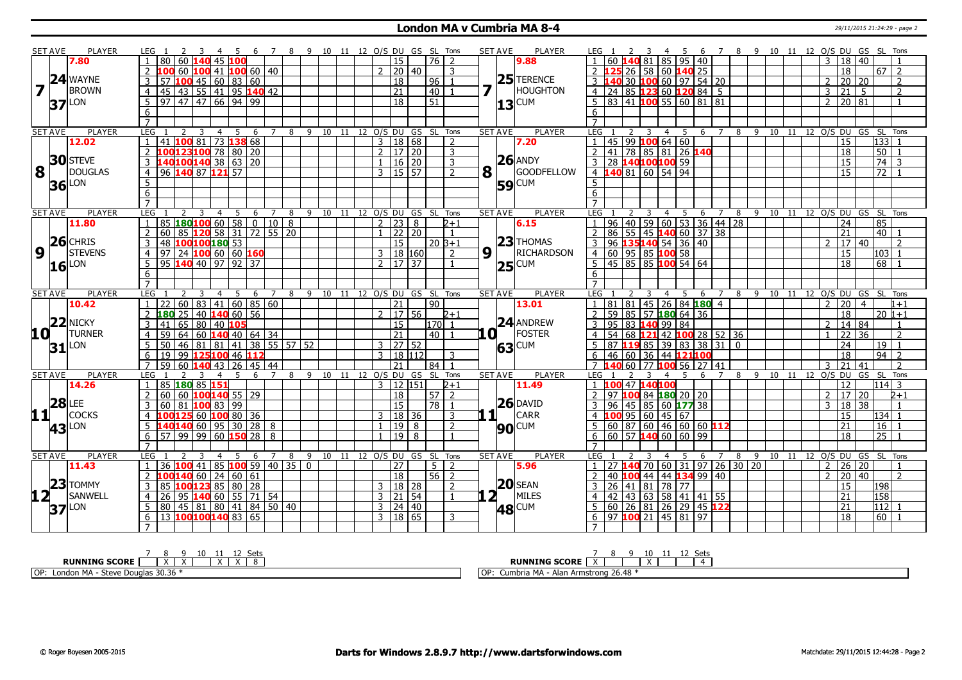#### **London MA v Cumbria MA 8-4** 29/11/2015 21:24:29 - page 2

|                         | <b>SET AVE</b>      | <b>PLAYER</b>       | LEG 1                | - 2<br>$\overline{\mathbf{3}}$                       | 4 5 6 7 8 9 10 11 12 O/S DU GS SL Tons |            |   |                                |  |                |                       |                       |                           |              | <b>SET AVE</b> | <b>PLAYER</b>     | LEG 1                   |                           |                 | $\overline{\mathbf{3}}$                             |                                   |                                         |                                      |          |  | 4 5 6 7 8 9 10 11 12 O/S DU GS SL Tons |                      |            |                         |                |
|-------------------------|---------------------|---------------------|----------------------|------------------------------------------------------|----------------------------------------|------------|---|--------------------------------|--|----------------|-----------------------|-----------------------|---------------------------|--------------|----------------|-------------------|-------------------------|---------------------------|-----------------|-----------------------------------------------------|-----------------------------------|-----------------------------------------|--------------------------------------|----------|--|----------------------------------------|----------------------|------------|-------------------------|----------------|
|                         |                     | 7.80                |                      | 80 60 140 45 100                                     |                                        |            |   |                                |  |                | 15                    | $76$   2              |                           |              |                | 9.88              |                         |                           |                 |                                                     |                                   | $140$ 81   85   95   40                 |                                      |          |  |                                        | $3 \mid 18 \mid 40$  |            |                         |                |
|                         |                     |                     |                      | 100 60 100 41 100 60 140                             |                                        |            |   |                                |  | $\mathcal{P}$  | 20 40                 |                       | 3                         |              |                |                   | $\overline{2}$          |                           | l 26 l          |                                                     |                                   | 58 60 <b>140</b> 25                     |                                      |          |  |                                        | 18                   |            | $67$   2                |                |
|                         |                     | $24$ WAYNE          |                      | 57 $\vert 100 \vert 45 \vert 60 \vert 83 \vert 60$   |                                        |            |   |                                |  |                | $\overline{18}$       | 96                    | $\overline{\mathbf{1}}$   |              |                | $25$ TERENCE      |                         | $3 \, 140$                |                 |                                                     |                                   | 30   <mark>100</mark> 60   97   54   20 |                                      |          |  |                                        | $2 \mid 20 \mid 20$  |            |                         | $\overline{2}$ |
| $\overline{\mathbf{z}}$ |                     | <b>BROWN</b>        | $\overline{4}$       | 45   43   55   41   95 140 42                        |                                        |            |   |                                |  |                | 21                    | 40                    |                           | 7            |                | <b>HOUGHTON</b>   | $\overline{4}$          | 24                        |                 |                                                     |                                   | 85 <b>123</b> 60 <b>120</b> 84   5      |                                      |          |  | $\mathbf{3}$                           | l 21 l               | 5          |                         | $\overline{2}$ |
|                         |                     | $37$ <sup>LON</sup> | 5 <sup>1</sup>       | $97$   47   47   66   94   99                        |                                        |            |   |                                |  |                | $\overline{18}$       | $\overline{51}$       |                           |              |                | 13 CUM            |                         |                           |                 |                                                     |                                   | 5   83   41   100   55   60   81   81   |                                      |          |  | $2^{\circ}$                            | 20 81                |            |                         |                |
|                         |                     |                     | 6                    |                                                      |                                        |            |   |                                |  |                |                       |                       |                           |              |                |                   | 6                       |                           |                 |                                                     |                                   |                                         |                                      |          |  |                                        |                      |            |                         |                |
|                         |                     |                     | $\overline{7}$       |                                                      |                                        |            |   |                                |  |                |                       |                       |                           |              |                |                   | $\overline{7}$          |                           |                 |                                                     |                                   |                                         |                                      |          |  |                                        |                      |            |                         |                |
|                         | <b>SET AVE</b>      | <b>PLAYER</b>       | LEG                  | $\overline{4}$                                       | 5<br>6                                 |            | 8 | 9 10 11 12 O/S DU GS SL Tons   |  |                |                       |                       |                           |              | <b>SET AVE</b> | <b>PLAYER</b>     | LEG 1                   |                           |                 |                                                     | 5<br>4                            | 6                                       |                                      | 8        |  | 9 10 11 12 O/S DU GS SL Tons           |                      |            |                         |                |
|                         |                     | 12.02               |                      | 41 100 81 73 138 68                                  |                                        |            |   |                                |  |                | $3 \mid 18 \mid 68$   |                       | $\overline{2}$            |              |                | 7.20              |                         |                           |                 | 45 99 <b>100</b> 64 60                              |                                   |                                         |                                      |          |  |                                        | 15                   |            | 133                     |                |
|                         |                     |                     |                      | LOO <mark>123</mark> 100 78 80 20                    |                                        |            |   |                                |  |                | 2   17   20           |                       | 3                         |              |                |                   | $\overline{2}$          | 41                        |                 |                                                     |                                   | 78 85 81 26 140                         |                                      |          |  |                                        | 18                   |            | 50                      |                |
|                         |                     | <b>30</b> STEVE     |                      | L40 <mark>100</mark> 140 38 63 20                    |                                        |            |   |                                |  |                | 1   16   20           |                       | 3                         |              |                | $26$ ANDY         | $\mathbf{3}$            |                           |                 | 28 140100100 59                                     |                                   |                                         |                                      |          |  |                                        | 15                   |            | 74                      | 3              |
| 8                       |                     | DOUGLAS             | $\overline{4}$       | 96 140 87 121 57                                     |                                        |            |   |                                |  |                | $3 \mid 15 \mid 57$   |                       | $\mathcal{P}$             | 8            |                | <b>GOODFELLOW</b> |                         |                           |                 | 4 140 81 60 54 94                                   |                                   |                                         |                                      |          |  |                                        | 15                   |            | 72                      |                |
|                         |                     | $36$ LON            | 5                    |                                                      |                                        |            |   |                                |  |                |                       |                       |                           |              |                | <b>59 CUM</b>     | 5 <sub>5</sub>          |                           |                 |                                                     |                                   |                                         |                                      |          |  |                                        |                      |            |                         |                |
|                         |                     |                     | 6                    |                                                      |                                        |            |   |                                |  |                |                       |                       |                           |              |                |                   | 6                       |                           |                 |                                                     |                                   |                                         |                                      |          |  |                                        |                      |            |                         |                |
|                         |                     |                     | $\overline{7}$       |                                                      |                                        |            |   |                                |  |                |                       |                       |                           |              |                |                   | $\overline{7}$          |                           |                 |                                                     |                                   |                                         |                                      |          |  |                                        |                      |            |                         |                |
|                         | <b>SET AVE</b>      | <b>PLAYER</b>       | LEG                  | $\overline{4}$<br>2                                  | 5<br>6                                 | 7          | 8 | 9 10 11 12 O/S DU GS SL Tons   |  |                |                       |                       |                           |              | <b>SET AVE</b> | <b>PLAYER</b>     | LEG                     |                           |                 | 3                                                   | 5<br>4                            | 6                                       | 7                                    | 8        |  | 9 10 11 12 O/S DU GS SL Tons           |                      |            |                         |                |
|                         |                     | 11.80               | 85                   | 180100 60                                            | $\overline{58}$                        | 0   10   8 |   |                                |  | 2 I            | 23 8                  |                       | $2 + 1$                   |              |                | 6.15              |                         | 96                        | 40              |                                                     |                                   |                                         | 59 60 53 36 44 28                    |          |  |                                        | 24                   |            | 85                      |                |
|                         |                     |                     | 2 <sup>1</sup>       | 60 85 120 58 31 72 55 20                             |                                        |            |   |                                |  | $\mathbf{1}$   | 22 20                 |                       | $\overline{1}$            |              |                |                   | $\mathcal{P}$           | 86                        |                 |                                                     |                                   | 55   45 <b> 140</b> 60   37   38        |                                      |          |  |                                        | 21                   |            | 40 <sup>1</sup>         |                |
|                         |                     | $26$ CHRIS          | $\overline{3}$       | 48 100100180 53                                      |                                        |            |   |                                |  |                | 15                    | $20B+1$               |                           |              |                | $23$ THOMAS       | $\overline{3}$          | 96                        |                 |                                                     |                                   | 135140 54 36 40                         |                                      |          |  | $\mathcal{L}$                          | 17   40              |            |                         | $\overline{2}$ |
| $\overline{9}$          | l L                 | <b>STEVENS</b>      | 4                    | 97   24   100 60   60   160                          |                                        |            |   |                                |  |                | 3 18 160              |                       | $\mathcal{L}$             | 9            | l L            | RICHARDSON        | 4 I                     |                           |                 | 60   95   85 <b>100</b> 58                          |                                   |                                         |                                      |          |  |                                        | 15                   |            | 103                     | -1             |
|                         |                     | $16$ LON            | 5 <sup>1</sup>       | $95 \text{ 140} \cdot 40 \cdot 97 \cdot 92 \cdot 37$ |                                        |            |   |                                |  |                | 2   17   37           |                       |                           |              |                | <b>25</b> CUM     | $\overline{5}$          | 45                        |                 |                                                     |                                   | $ 85 85$ 100 54 64                      |                                      |          |  |                                        | 18                   |            | 68                      |                |
|                         |                     |                     | 6                    |                                                      |                                        |            |   |                                |  |                |                       |                       |                           |              |                |                   | $6\overline{6}$         |                           |                 |                                                     |                                   |                                         |                                      |          |  |                                        |                      |            |                         |                |
|                         |                     |                     | $\overline{7}$       |                                                      |                                        |            |   |                                |  |                |                       |                       |                           |              |                |                   | $\overline{7}$          |                           |                 |                                                     |                                   |                                         |                                      |          |  |                                        |                      |            |                         |                |
|                         | <b>SET AVE</b>      | <b>PLAYER</b>       | <b>LEG</b>           | 3<br>$\overline{4}$                                  | 5<br>6                                 | 7          |   | 8 9 10 11 12 0/S DU GS SL Tons |  |                |                       |                       |                           |              | <b>SET AVE</b> | <b>PLAYER</b>     | <b>LEG</b>              |                           |                 | $\overline{4}$<br>3                                 | -5                                | 6                                       | 7                                    |          |  | 8 9 10 11 12 O/S DU GS SL Tons         |                      |            |                         |                |
|                         |                     | 10.42               | $\overline{1}$       | 22   60   83   41   60   85   60                     |                                        |            |   |                                |  |                | $\overline{21}$       | 90                    |                           |              |                | 13.01             | $\mathbf{1}$            | 81                        | 81              |                                                     |                                   | 45 26 84 180 4                          |                                      |          |  |                                        | $2 \mid 20 \mid 4$   |            |                         | $1 + 1$        |
|                         |                     | $22$ NICKY          | $\overline{2}$       | $180$ 25 40 $140$ 60 56                              |                                        |            |   |                                |  |                | $2$ 17 56             |                       | $2 + 1$                   |              |                |                   | $\overline{2}$          | 59                        |                 |                                                     |                                   | $85$ 57 <b>180</b> 64 36                |                                      |          |  |                                        | 18                   |            | $20 1+1$                |                |
|                         |                     |                     | $\overline{3}$       | 41 65 80 40 105                                      |                                        |            |   |                                |  |                | $\overline{15}$       | l170l 1               |                           |              |                | 24 ANDREW         | $\overline{\mathbf{3}}$ | 95                        |                 | 83 140 99 84                                        |                                   |                                         |                                      |          |  |                                        | $2 \mid 14 \mid 84$  |            |                         | $\mathbf{1}$   |
| 10 L                    |                     | <b>TURNER</b>       | 59<br>$\overline{4}$ | 64   60   140   40   64   34                         |                                        |            |   |                                |  |                | $\overline{21}$       | 40 1                  |                           | $\mathbf{a}$ |                | <b>FOSTER</b>     | $\overline{4}$          | 54                        |                 |                                                     |                                   |                                         | 68 <b>121</b> 42 <b>100</b> 28 52 36 |          |  |                                        | 22 36                |            |                         | $\overline{2}$ |
|                         |                     | $31$ <sup>LON</sup> | 5 <sup>1</sup>       | 50   46   81   81   41   38   55   57   52           |                                        |            |   |                                |  | 3 <sup>1</sup> | 27 52                 |                       |                           |              |                | 63 CUM            | 5                       | 87                        |                 |                                                     |                                   | 119 85 39 83 38 31 1                    |                                      | $\Omega$ |  |                                        | 24                   |            | $19$   1                |                |
|                         |                     |                     | 6 <sup>1</sup>       | 19 99 125 100 46 112                                 |                                        |            |   |                                |  |                | 3   18   112          |                       | 3                         |              |                |                   | 6                       | 46                        | $\overline{60}$ |                                                     |                                   | 36 44 121100                            |                                      |          |  |                                        | $\overline{18}$      |            | $94$ 2                  |                |
|                         |                     |                     | 7 <sup>1</sup>       | 59   60   140   43   26   45   44                    |                                        |            |   |                                |  |                | 21                    | 84                    | $\overline{1}$            |              |                |                   | $\overline{7}$          |                           | 60              |                                                     |                                   | 77 <b>100</b> 56 27 41                  |                                      |          |  | ર                                      | 21 41                |            |                         | $\mathcal{L}$  |
|                         | <b>SET AVE</b>      | <b>PLAYER</b>       | LEG 1                | $\overline{4}$<br>2<br>3                             | - 5                                    | 6 7        |   | 8 9 10 11 12 0/S DU GS SL Tons |  |                |                       |                       |                           |              | <b>SET AVE</b> | <b>PLAYER</b>     | LEG <sub>1</sub>        |                           |                 |                                                     | -5                                | 6                                       | $\overline{7}$                       |          |  | 8 9 10 11 12 O/S DU                    |                      | GS SL Tons |                         |                |
|                         |                     | 14.26               | 2 <sup>1</sup>       | 85 180 85 151<br>60 60 <b>100140</b> 55 29           |                                        |            |   |                                |  |                | $3 \mid 12 \mid 151$  |                       | $2 + 1$<br>$\overline{z}$ |              |                | 11.49             | $\mathcal{P}$           | $1\,100$<br>97 <b>100</b> |                 | 47 140100<br>84 <b>180</b> 20 20                    |                                   |                                         |                                      |          |  |                                        | $\overline{12}$      |            | $1114$ 3                |                |
|                         | $28$ LEE            |                     | $\mathbf{3}$         | 60   81   100   83   99                              |                                        |            |   |                                |  |                | 18<br>$\overline{15}$ | 57<br>$\overline{78}$ |                           |              |                | <b>26 DAVID</b>   | $\overline{3}$          | 96                        |                 |                                                     |                                   |                                         |                                      |          |  | $\mathbf{3}$                           | 2   17   20<br>18 38 |            |                         | $2 + 1$        |
| 11                      |                     | <b>COCKS</b>        |                      | 00 125 60 100 80 36                                  |                                        |            |   |                                |  |                | 18 36                 |                       |                           |              | 1 <sub>1</sub> | CARR              |                         |                           | 45              | 100 95 60 45 67                                     |                                   | 85 60 177 38                            |                                      |          |  |                                        |                      |            | 134                     |                |
|                         |                     |                     |                      | <b>140140</b> 60 95 30 28 8                          |                                        |            |   |                                |  | 3 <sup>1</sup> | $19 \mid 8$           |                       | 3                         |              |                |                   | 5                       |                           |                 |                                                     |                                   | 60   87   60   46   60   60 <b> 112</b> |                                      |          |  |                                        | 15<br>21             |            | 16                      |                |
|                         |                     | <b>43</b> LON       |                      |                                                      |                                        |            |   |                                |  |                |                       |                       | 2                         |              |                | <b>90</b> CUM     |                         |                           |                 |                                                     |                                   |                                         |                                      |          |  |                                        |                      |            |                         |                |
|                         |                     |                     | 6                    | 57   99   99   60   150   28                         |                                        | 8          |   |                                |  |                | $19$ 8                |                       |                           |              |                |                   | 6<br>$\overline{7}$     |                           |                 |                                                     |                                   | 60 57 140 60 60 99                      |                                      |          |  |                                        | 18                   |            | 25                      |                |
|                         | <b>SET AVE</b>      | <b>PLAYER</b>       | LEG                  | $\overline{4}$                                       |                                        | 7          | 8 | 9 10 11 12 O/S DU GS SL Tons   |  |                |                       |                       |                           |              | <b>SET AVE</b> | <b>PLAYER</b>     | LEG                     |                           |                 |                                                     | $5\overline{5}$<br>$\overline{4}$ |                                         | 7                                    | 8        |  | 9 10 11 12 O/S DU GS SL Tons           |                      |            |                         |                |
|                         |                     | 11.43               |                      | 36 $100$ 41 85 100 59 40 35 0                        | 5<br>6                                 |            |   |                                |  |                | $\overline{27}$       | 5 <sup>1</sup>        | $\overline{2}$            |              |                | 5.96              |                         |                           |                 |                                                     |                                   | - 6                                     | 27 140 70 60 31 97 26 30 20          |          |  | $2^{\circ}$                            | 26 20                |            |                         |                |
|                         |                     |                     |                      | $100140$ 60 24 60 61                                 |                                        |            |   |                                |  |                | 18                    | $56$   2              |                           |              |                |                   |                         |                           |                 |                                                     |                                   | 40 100 44 44 134 99 40                  |                                      |          |  | $\mathcal{L}$                          | 20 40                |            |                         | $\overline{2}$ |
|                         |                     | $ 23 $ TOMMY        | 3                    | 85 100 123 85 80 28                                  |                                        |            |   |                                |  |                | 3   18   28           |                       | $\mathcal{L}$             |              |                | $20$ SEAN         | $\overline{3}$          | 26                        |                 | $\boxed{41}$ $\boxed{81}$ $\boxed{78}$ $\boxed{77}$ |                                   |                                         |                                      |          |  |                                        | 15                   |            |                         |                |
| $12 -$                  |                     | SANWELL             | 4 <sup>1</sup><br>26 | 95 140 60 55 71 54                                   |                                        |            |   |                                |  |                | $3$   21   54         |                       | $\mathbf{1}$              |              | 2 <sup>1</sup> | MILES             | $\overline{4}$          |                           |                 |                                                     |                                   | 42 43 63 58 41 41 55                    |                                      |          |  |                                        | 21                   |            | 198<br>$\overline{158}$ |                |
|                         |                     |                     | 5 <sub>1</sub>       | 80   45   81   80   41   84   50   40                |                                        |            |   |                                |  |                | $3 \mid 24 \mid 40$   |                       |                           |              |                |                   | $5^{\circ}$             |                           |                 |                                                     |                                   | 60 26 81 26 29 45 122                   |                                      |          |  |                                        | 21                   |            | 112                     |                |
|                         | $37$ <sup>LON</sup> |                     | 6 <sup>1</sup>       | 13 100100140 83 65                                   |                                        |            |   |                                |  |                | 3   18   65           |                       | 3                         |              |                | 48 CUM            | 6                       | 97                        |                 |                                                     |                                   | $100$ 21 45 81 97                       |                                      |          |  |                                        | 18                   |            | 60                      |                |
|                         |                     |                     | $\overline{7}$       |                                                      |                                        |            |   |                                |  |                |                       |                       |                           |              |                |                   | $\overline{7}$          |                           |                 |                                                     |                                   |                                         |                                      |          |  |                                        |                      |            |                         |                |
|                         |                     |                     |                      |                                                      |                                        |            |   |                                |  |                |                       |                       |                           |              |                |                   |                         |                           |                 |                                                     |                                   |                                         |                                      |          |  |                                        |                      |            |                         |                |

|                                                                                                               | ັບປະ<br><b></b>                                                                       |
|---------------------------------------------------------------------------------------------------------------|---------------------------------------------------------------------------------------|
| <b>RUNNING SCORE</b><br>$\lambda$<br>$\ddot{\phantom{1}}$<br>$\ddot{\phantom{1}}$<br>$\overline{\phantom{a}}$ | <b>RUNNING SCORE</b><br>$\lambda$<br>$\ddot{\phantom{1}}$<br>$\overline{\phantom{a}}$ |
| IOP:<br>30.36<br>London MA<br>· Steve Douc                                                                    | <b>OP</b><br>$\ldots$ Armstrong 26.48 $^*$<br>Cumbria MA<br>Ala                       |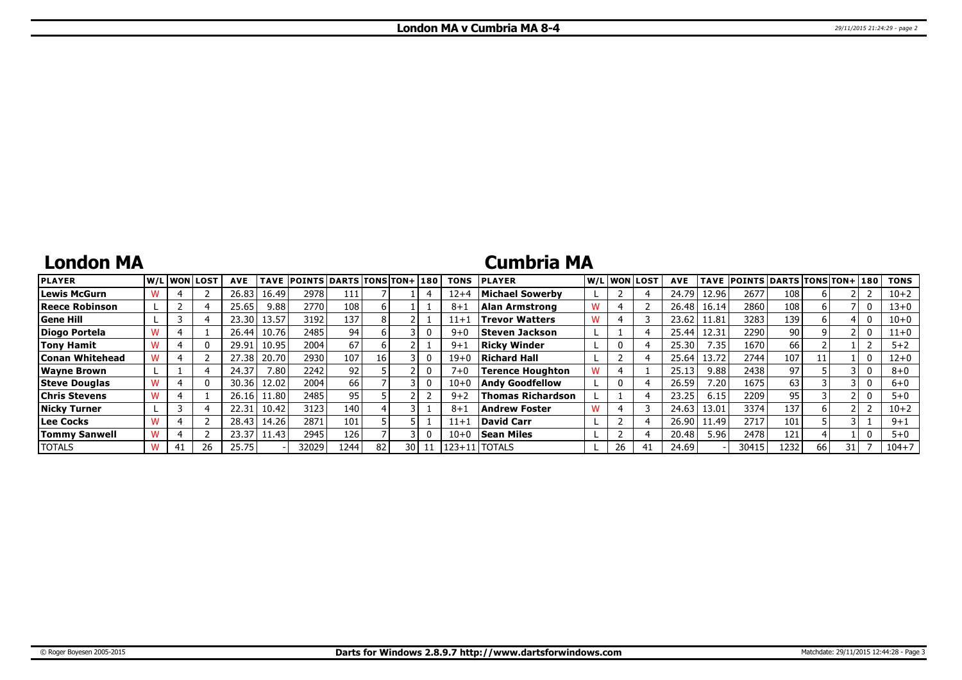## **London MA**

### **Cumbria MA**

| <b>PLAYER</b>        |    | W/Liwonilost! | <b>AVE</b> | <b>TAVE</b>       | <b>POINTS DARTS TONS TON+180</b> |            |    |      |    | <b>TONS</b> | <b>PLAYER</b>            |    | W/L WON LOST   | <b>AVE</b> |       | TAVE POINTS DARTS TONS TON+ 180 |                 |    |  | <b>TONS</b> |
|----------------------|----|---------------|------------|-------------------|----------------------------------|------------|----|------|----|-------------|--------------------------|----|----------------|------------|-------|---------------------------------|-----------------|----|--|-------------|
| Lewis McGurn         |    |               | 26.83      | 16.49             | 2978                             | 111<br>⊥⊥⊥ |    |      |    | $12+4$      | Michael Sowerbv          |    |                | 24.79      | 12.96 | 2677                            | 108             |    |  | $10 + 2$    |
| Reece Robinson       |    |               | 25.65      | 9.88              | 2770                             | 108        |    |      |    | $8 + 1$     | Alan Armstrong           |    |                | 26.48      | 16.14 | 2860                            | 108             |    |  | 13+0        |
| Gene Hill            |    |               | 23.30      | 13.57             | 3192                             | 137        |    |      |    | $11 + 1$    | <b>Trevor Watters</b>    |    |                | 23.62      | 11.81 | 3283                            | 139             |    |  | $10 + 0$    |
| Diogo Portela        |    |               | 26.44      | 10.76             | 2485                             | 94         |    |      |    | $9 + 0$     | Steven Jackson           |    |                | 25.44      | 12.31 | 2290                            | 90 <sup>1</sup> |    |  | $11+0$      |
| Tony Hamit           |    |               | 29.91      | 10.95             | 2004                             | 67         |    |      |    | $9 + 1$     | <b>Ricky Winder</b>      |    |                | 25.30      | 7.35  | 1670 l                          | 66              |    |  | $5 + 2$     |
| Conan Whitehead      |    |               | 27.38      | 20.70             | 2930                             | 107        | 16 |      |    | $19 + 0$    | Richard Hall             |    |                | 25.64      | 13.72 | 2744                            | 107             |    |  | 12+0        |
| <b>Wayne Brown</b>   |    |               | 24.37      | 7.80 <sub>1</sub> | 2242                             | 92         |    |      |    | $7 + 0$     | Terence Houghton         |    |                | 25.13      | 9.88  | 2438                            | 97              |    |  | $8 + 0$     |
| <b>Steve Douglas</b> |    |               | 30.36      | 12.02             | 2004                             | 66 l       |    |      |    | $10 + 0$    | <b>Andy Goodfellow</b>   |    |                | 26.59      | 7.201 | 1675                            | 63              |    |  | $6 + 0$     |
| <b>Chris Stevens</b> |    |               | 26.16      | 11.80             | 2485                             | 95         |    |      |    | $9+2$       | <b>Thomas Richardson</b> |    |                | 23.25      | 6.15  | 2209                            | 95              |    |  | $5 + 0$     |
| Nicky Turner         |    |               | 22.31      | 10.42             | 3123                             | 140        |    |      |    | $8 + 1$     | Andrew Foster            |    |                | 24.63      | 13.01 | 3374                            | 137             |    |  | $10 + 2$    |
| Lee Cocks            |    |               | 28.43      | 14.26             | 2871                             | 101        |    |      |    | $11+1$      | David Carr               |    |                | 26.90      | 11.49 | 2717                            | 101             |    |  | $9 + 1$     |
| <b>Tommy Sanwell</b> |    |               | 23.37      | 11.43             | 2945                             | 126        |    |      |    | $10 + 0$    | <b>Sean Miles</b>        |    |                | 20.48      | 5.96  | 2478                            | 121             |    |  | $5 + 0$     |
| <b>TOTALS</b>        | 41 | 26            | 25.75      |                   | 32029                            | 12441      | 82 | 30 I | 11 |             | 123+11   TOTALS          | 26 | 4 <sub>1</sub> | 24.69      |       | 30415                           | 1232            | 66 |  | $104 + 7$   |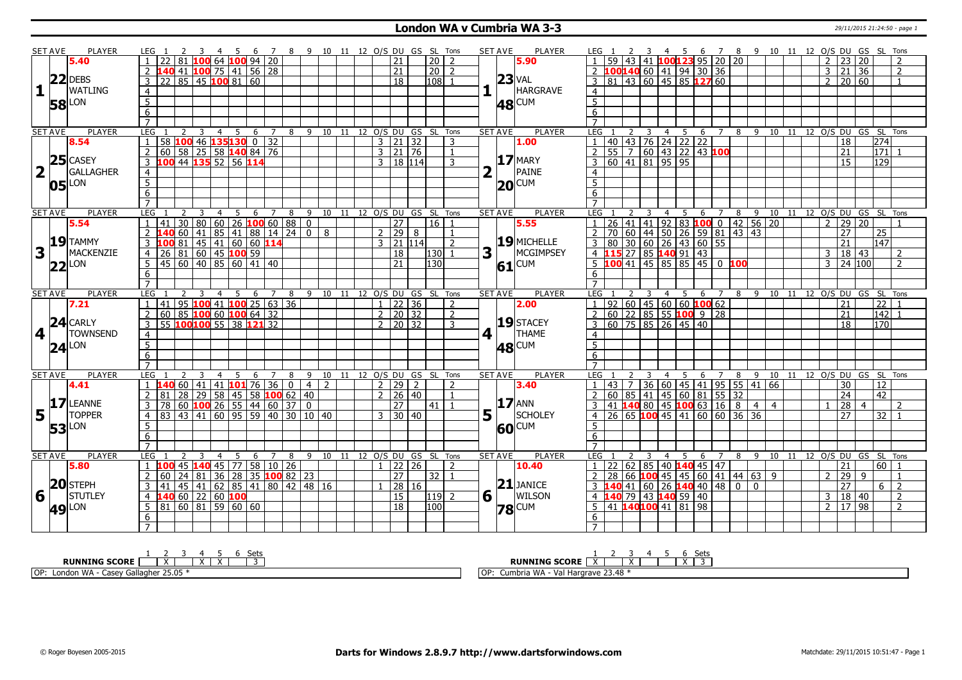### **London WA v Cumbria WA 3-3** 29/11/2015 21:24:50 - page 1

|                         | <b>SET AVE</b> | <b>PLAYER</b>    | LEG 1<br>3                                          | 4 5 6 7 8 9 10 11 12 O/S DU GS SL Tons |                                    |                |              |                                |                 |                | <b>SET AVE</b>          | PLAYER        | LEG 1                                                |                                  | 4 5 6 7 8 9 10 11 12 O/S DU GS SL Tons  |                     |     |                |  |                      |                           |                                    |  |
|-------------------------|----------------|------------------|-----------------------------------------------------|----------------------------------------|------------------------------------|----------------|--------------|--------------------------------|-----------------|----------------|-------------------------|---------------|------------------------------------------------------|----------------------------------|-----------------------------------------|---------------------|-----|----------------|--|----------------------|---------------------------|------------------------------------|--|
|                         |                | 5.40             |                                                     | 81 <b>100</b> 64 <b>100</b> 94 20      |                                    |                |              | 21                             | $\overline{20}$ | $\overline{2}$ |                         | 5.90          |                                                      | 41                               | $100123$ 95 20 20                       |                     |     |                |  | $2 \mid 23 \mid 20$  |                           | $\overline{z}$                     |  |
|                         |                |                  |                                                     | 41 100 75 41 56 28                     |                                    |                |              | $\overline{21}$                | 20              | $\overline{2}$ |                         |               | $\overline{2}$                                       |                                  | 100 <mark>140</mark> 60 41 94 30 36     |                     |     |                |  | $3 \mid 21 \mid 36$  |                           | $\overline{2}$                     |  |
|                         |                | $ 22 $ DEBS      | 85 45 100 81 60<br>$\mathbf{3}$<br>$22^{\circ}$     |                                        |                                    |                |              | 18                             | 108             |                |                         | $23$ VAL      | 3<br>81                                              |                                  | $43 \mid 60 \mid 45 \mid 85$ 127 60     |                     |     |                |  | $2 \mid 20 \mid 60$  |                           | $\mathbf{1}$                       |  |
| $\bf{1}$                |                | <b>WATLING</b>   | $\overline{4}$                                      |                                        |                                    |                |              |                                |                 |                |                         | HARGRAVE      | $\overline{4}$                                       |                                  |                                         |                     |     |                |  |                      |                           |                                    |  |
|                         |                |                  |                                                     |                                        |                                    |                |              |                                |                 |                |                         |               |                                                      |                                  |                                         |                     |     |                |  |                      |                           |                                    |  |
|                         | 58             | LON              | 5 <sub>2</sub>                                      |                                        |                                    |                |              |                                |                 |                |                         | 48 CUM        | 5                                                    |                                  |                                         |                     |     |                |  |                      |                           |                                    |  |
|                         |                |                  | $\overline{6}$                                      |                                        |                                    |                |              |                                |                 |                |                         |               | 6                                                    |                                  |                                         |                     |     |                |  |                      |                           |                                    |  |
|                         |                |                  | $\overline{7}$                                      |                                        |                                    |                |              |                                |                 |                |                         |               | $\overline{7}$                                       |                                  |                                         |                     |     |                |  |                      |                           |                                    |  |
|                         | SET AVE        | <b>PLAYER</b>    | <b>LEG</b><br>$\mathcal{P}$<br>3<br>$\overline{4}$  | -5<br>6<br>$7\overline{ }$             |                                    |                |              | 8 9 10 11 12 0/S DU GS SL Tons |                 |                | <b>SET AVE</b>          | <b>PLAYER</b> | <b>LEG</b><br>$\overline{2}$                         | 3<br>$\overline{4}$              | -5<br>6                                 | $\overline{7}$      | 8   |                |  |                      |                           | 9 10 11 12 0/S DU GS SL Tons       |  |
|                         |                | 8.54             | $\boxed{1}$<br>58                                   | $100$ 46 $135$ 130 0 32                |                                    |                |              | 3   21   32                    |                 | 3              |                         | 1.00          | 40<br>$\mathbf{1}$                                   |                                  | $\boxed{43}$ 76 24 22 22                |                     |     |                |  | 18                   |                           | 274                                |  |
|                         |                |                  | 60 58 25 58 140 84 76<br>2                          |                                        |                                    |                |              | 3   21   76                    |                 | $\overline{1}$ |                         |               | $\overline{2}$<br>$\overline{55}$<br>$\overline{7}$  |                                  | 60   43   22   43 <mark>100</mark>      |                     |     |                |  | 21                   |                           | 171                                |  |
|                         |                | $25$ CASEY       | 44 135 52 56 114<br>$\overline{\mathbf{3}}$<br>100  |                                        |                                    |                |              | $3 \mid 18 \mid 114$           |                 | 3              |                         | $17$ MARY     | $\overline{3}$<br>60<br>$\overline{141}$             | 81                               | 95 95                                   |                     |     |                |  | 15                   |                           | 129                                |  |
| $\overline{\mathbf{2}}$ |                | <b>GALLAGHER</b> | $\overline{4}$                                      |                                        |                                    |                |              |                                |                 | 2              |                         | PAINE         | $\overline{4}$                                       |                                  |                                         |                     |     |                |  |                      |                           |                                    |  |
|                         | 05             | LON              |                                                     |                                        |                                    |                |              |                                |                 |                | 20                      | CUM           | $\overline{5}$                                       |                                  |                                         |                     |     |                |  |                      |                           |                                    |  |
|                         |                |                  | $\frac{5}{6}$                                       |                                        |                                    |                |              |                                |                 |                |                         |               | $\overline{6}$                                       |                                  |                                         |                     |     |                |  |                      |                           |                                    |  |
|                         |                |                  | $\overline{7}$                                      |                                        |                                    |                |              |                                |                 |                |                         |               | $\overline{7}$                                       |                                  |                                         |                     |     |                |  |                      |                           |                                    |  |
|                         | <b>SET AVE</b> | <b>PLAYER</b>    | <b>LEG</b><br>2<br>$\overline{3}$<br>$\overline{4}$ | $\overline{5}$                         | 6 7 8 9 10 11 12 0/S DU GS SL Tons |                |              |                                |                 |                | <b>SET AVE</b>          | <b>PLAYER</b> | LEG                                                  | 3                                | 5                                       | $6 \quad 7 \quad 8$ |     |                |  |                      |                           | 9 10 11 12 0/S DU GS SL Tons       |  |
|                         |                | 5.54             | $\overline{1}$<br>41 <sup>1</sup>                   | $30 80 60 26$ 100 60 88 0              |                                    |                |              | $\overline{27}$                | 16              |                |                         | 5.55          | $\overline{26}$<br>41                                | 41                               | $92$ 83 <b>100</b> 0 42 56 20           |                     |     |                |  | $\overline{2}$       | 29 20                     |                                    |  |
|                         |                |                  | 2                                                   | $60$ 41 85 41 88 14 24 0               |                                    | 8              | 2 29         | 8                              |                 | $\mathbf{1}$   |                         |               | $\overline{2}$<br>70                                 | 60 44 50                         | $26$ 59 81 43 43                        |                     |     |                |  | $\overline{27}$      |                           | $\overline{25}$                    |  |
|                         |                | $ 19 $ TAMMY     | $\overline{3}$<br>81                                | 45 41 60 60 114                        |                                    |                | 3            | 21 114                         |                 | $\mathcal{P}$  |                         | 19 MICHELLE   | $\mathbf{3}$<br>80                                   | 30   60   26                     | 43 60 55                                |                     |     |                |  | 21                   |                           | 147                                |  |
| 3                       |                | <b>MACKENZIE</b> | 26 81 60 45 100 59<br>4                             |                                        |                                    |                |              | 18                             | 1301            |                | $\overline{\mathbf{3}}$ | MCGIMPSEY     | $\overline{4}$                                       |                                  | 27 85 140 91 43                         |                     |     |                |  | 3   18   43          |                           | $\overline{2}$                     |  |
|                         |                | LON              | 5   45   60   40   85   60   41   40                |                                        |                                    |                |              | $\overline{21}$                | 130             |                |                         | $61$ CUM      | $\overline{5}$<br>$100$ 41 45 85 85 45 0 100         |                                  |                                         |                     |     |                |  |                      | $3 \mid 24 \mid 100 \mid$ | $\overline{2}$                     |  |
|                         | 22             |                  | 6                                                   |                                        |                                    |                |              |                                |                 |                |                         |               | 6                                                    |                                  |                                         |                     |     |                |  |                      |                           |                                    |  |
|                         |                |                  | $\overline{7}$                                      |                                        |                                    |                |              |                                |                 |                |                         |               | $\overline{7}$                                       |                                  |                                         |                     |     |                |  |                      |                           |                                    |  |
|                         | <b>SET AVE</b> | <b>PLAYER</b>    | <b>LEG</b><br>$\overline{3}$<br>4                   | $5\quad 6\quad 7\quad 8$               |                                    |                |              | 9 10 11 12 0/S DU GS SL Tons   |                 |                | <b>SET AVE</b>          | <b>PLAYER</b> | LEG 1                                                | $\overline{3}$<br>$\overline{4}$ | $-5$                                    | 6 7                 | 8   |                |  |                      |                           | 9 10 11 12 0/S DU GS SL Tons       |  |
|                         |                | 7.21             | 41 95 100 41 100 25 63 36<br>$\overline{1}$         |                                        |                                    |                | $\mathbf{1}$ | $\frac{122}{36}$               |                 | $\overline{z}$ |                         | 2.00          | 92   60   45   60   60   100   62<br>$\mathbf{1}$    |                                  |                                         |                     |     |                |  | 21                   |                           | $\overline{22}$                    |  |
|                         |                |                  | $60$ 85 100 60 100 64 32<br>2                       |                                        |                                    |                |              | $2 \ 20 \ 32$                  |                 | $\overline{z}$ |                         |               | $\overline{2}$                                       |                                  |                                         | $9 \mid 28$         |     |                |  | 21                   |                           | $142$ 1                            |  |
|                         |                |                  |                                                     |                                        |                                    |                |              |                                |                 |                |                         |               |                                                      |                                  |                                         |                     |     |                |  |                      |                           |                                    |  |
| 4                       |                |                  |                                                     |                                        |                                    |                |              |                                |                 |                |                         |               |                                                      |                                  |                                         |                     |     |                |  |                      |                           |                                    |  |
|                         |                | $24$ CARLY       | 55 100100 55 38 121 32<br>$\overline{3}$            |                                        |                                    |                |              | $2 \times 120 \times 32$       |                 | $\mathbf{3}$   |                         | $19$ STACEY   | $\overline{3}$                                       |                                  |                                         |                     |     |                |  | 18                   |                           | 170                                |  |
|                         |                | <b>TOWNSEND</b>  | $\overline{4}$                                      |                                        |                                    |                |              |                                |                 |                | 4                       | <b>THAME</b>  | $\overline{4}$                                       |                                  |                                         |                     |     |                |  |                      |                           |                                    |  |
|                         | 24             | LON              | $5\overline{}$                                      |                                        |                                    |                |              |                                |                 |                | 48                      | CUM           | $\overline{5}$                                       |                                  |                                         |                     |     |                |  |                      |                           |                                    |  |
|                         |                |                  | $\overline{6}$                                      |                                        |                                    |                |              |                                |                 |                |                         |               | $\overline{6}$                                       |                                  |                                         |                     |     |                |  |                      |                           |                                    |  |
|                         |                |                  | $\overline{7}$                                      |                                        |                                    |                |              |                                |                 |                |                         |               | $\overline{7}$                                       |                                  |                                         |                     |     |                |  |                      |                           |                                    |  |
|                         | <b>SET AVE</b> | <b>PLAYER</b>    | LEG<br>$\overline{3}$<br>$\overline{4}$             | - 5<br>6                               | 7 8                                |                |              | 9 10 11 12 O/S DU GS SL Tons   |                 |                | <b>SET AVE</b>          | <b>PLAYER</b> | LEG <sub>1</sub>                                     | 3<br>$\overline{4}$              | $\overline{5}$                          |                     |     |                |  |                      |                           | 6 7 8 9 10 11 12 0/S DU GS SL Tons |  |
|                         |                | 4.41             | $\overline{1}$                                      | 60   41   41   101   76   36   0       | $\boxed{4}$                        | $\overline{2}$ |              | $2 \ 29 \ 2$                   |                 | $\mathcal{L}$  |                         | 3.40          | 43<br>$\overline{7}$<br>$\mathbf{1}$                 |                                  | 36 60 45 41 95 55 41 66                 |                     |     |                |  | 30                   |                           | $\overline{12}$                    |  |
|                         |                |                  | 81 28 29 58 45 58 100 62 40<br>$\overline{2}$       |                                        |                                    |                |              | 2   26   40                    |                 | $\overline{1}$ |                         |               | $\overline{85}$<br>$\overline{2}$<br>60              |                                  | $141$ 45 60 81 55 32                    |                     |     |                |  | 24                   |                           | $\overline{42}$                    |  |
|                         | 17             | <b>LEANNE</b>    | 78 60 100 26 55 44 60 37 0<br>$\mathbf{3}$          |                                        |                                    |                |              | 27                             | $41$   1        |                |                         | <b>17</b> ANN | 41 <b>140</b> 80 45 <b>100</b> 63 16 8 4<br>3        |                                  |                                         |                     |     | $\overline{4}$ |  | $ 28\rangle$         | $\overline{4}$            | $\overline{2}$                     |  |
| 5                       |                | <b>TOPPER</b>    | 83 43 41 60 95 59 40 30 10 40<br>$\overline{4}$     |                                        |                                    |                |              | 3   30   40                    |                 |                | 5                       | SCHOLEY       | 26 65 <b>100</b> 45 41 60 60 36 36<br>$\overline{4}$ |                                  |                                         |                     |     |                |  | 27                   |                           | 32 1                               |  |
|                         |                | LON              | 5                                                   |                                        |                                    |                |              |                                |                 |                |                         |               | 5                                                    |                                  |                                         |                     |     |                |  |                      |                           |                                    |  |
|                         | 53             |                  | 6                                                   |                                        |                                    |                |              |                                |                 |                |                         | 60 CUM        | 6                                                    |                                  |                                         |                     |     |                |  |                      |                           |                                    |  |
|                         |                |                  | $\overline{7}$                                      |                                        |                                    |                |              |                                |                 |                |                         |               | $\overline{7}$                                       |                                  |                                         |                     |     |                |  |                      |                           |                                    |  |
|                         | SET AVE        | <b>PLAYER</b>    | <b>LEG</b><br>4                                     | 5<br>6<br>$\bar{z}$                    | 8                                  |                |              | 9 10 11 12 0/S DU GS SL Tons   |                 |                | <b>SET AVE</b>          | <b>PLAYER</b> | LEG<br>$\overline{2}$                                | 3<br>4                           | 5<br>6                                  | 7                   |     |                |  |                      |                           | 8 9 10 11 12 O/S DU GS SL Tons     |  |
|                         |                | 5.80             | $\overline{1}$                                      | 45 140 45 77 58 10 26                  |                                    |                |              | 22 26                          |                 | $\overline{2}$ |                         | 10.40         | $\mathbf{1}$<br>22                                   |                                  | $\vert$ 62   85   40 <b>140</b> 45   47 |                     |     |                |  | 21                   |                           | 60 1                               |  |
|                         |                |                  | $\overline{2}$<br>60.                               | 24 81 36 28 35 100 82 23               |                                    |                |              | 27                             | $32$   1        |                |                         |               | $\overline{2}$<br>28<br>66                           |                                  | $100$ 45 45 60 41 44 63 9               |                     |     |                |  | 29 <br>$\mathcal{L}$ | $\mathsf{q}$              | $\overline{1}$                     |  |
|                         |                | $20$ STEPH       | $\mathbf{3}$<br>41 I                                | 45 41 62 85 41 80 42 48 16             |                                    |                |              | $\sqrt{28}$ 16                 |                 |                |                         | $21$ JANICE   | $\overline{3}$                                       |                                  | $41 \mid 60 \mid 26$ 140 40 48          |                     | 0 I | $\Omega$       |  | $\overline{27}$      |                           | $6 \mid 2$                         |  |
| 6                       |                | <b>STUTLEY</b>   | $60$   22   60 100<br>4 140                         |                                        |                                    |                |              | 15                             | 119 2           |                |                         | <b>WILSON</b> | 4140                                                 |                                  | 79 43 140 59 40                         |                     |     |                |  | 3   18   40          |                           | <sup>2</sup>                       |  |
|                         |                |                  | $\overline{5}$                                      |                                        |                                    |                |              | $\overline{18}$                | 100             |                | $6\vert$ <sup>T</sup>   |               | 41                                                   | $140$ 100 41                     | $\overline{81}$<br>98                   |                     |     |                |  | $\overline{2}$       | 17 98                     | $\overline{2}$                     |  |
|                         |                | <b>49 LON</b>    | 81 60 81 59 60 60                                   |                                        |                                    |                |              |                                |                 |                |                         | <b>78</b> CUM | $\overline{5}$                                       |                                  |                                         |                     |     |                |  |                      |                           |                                    |  |
|                         |                |                  | 6<br>$\overline{7}$                                 |                                        |                                    |                |              |                                |                 |                |                         |               | 6                                                    |                                  |                                         |                     |     |                |  |                      |                           |                                    |  |

| Gat                                                                                | اہے                                                                      |
|------------------------------------------------------------------------------------|--------------------------------------------------------------------------|
| ーー                                                                                 | ーー                                                                       |
| <b>RUNNING SCORE</b>                                                               | <b>RUNNING SCORE</b>                                                     |
| $\overline{\phantom{a}}$                                                           | $\ddot{\phantom{1}}$                                                     |
| IOP:<br>…don W∆<br>ີລc≙∨ .<br>Gallagher<br>∵ Galle<br>™aon w∧<br>، ب ک<br>יטש<br>. | 101A<br>$ -$<br>4۶ ،<br>TOI<br>l Hargrave 23.48<br>Iumbria<br><b>VVF</b> |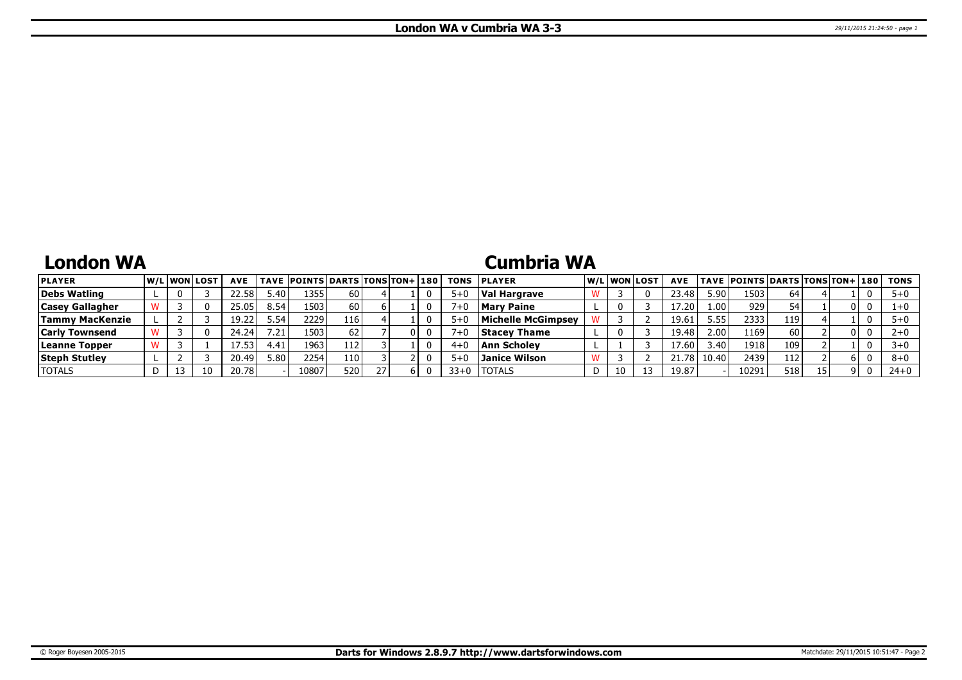# **London WA**

### **Cumbria WA**

| <b>PLAYER</b>          | <b>W/LIWONILOST</b> |    | <b>AVE</b> |        | <b>TAVE POINTS DARTS TONS TON+ 180</b> |      |    | <b>TONS</b> | <b>IPLAYER</b>      |    | W/Liwonilost | <b>AVE</b> |                   | TAVE  POINTS DARTS TONS TON+ 180 |     |    |    | TONS    |
|------------------------|---------------------|----|------------|--------|----------------------------------------|------|----|-------------|---------------------|----|--------------|------------|-------------------|----------------------------------|-----|----|----|---------|
| Debs Watling           |                     |    | 22.58      | ا 40.ر | 1355                                   | 60 I |    | $5 + C$     | Val Hargrave        |    |              | 23.48      | 5.90 l            | 15031                            | 64  |    |    |         |
| <b>Casey Gallagher</b> |                     |    | 25.05      | 8.54   | 1503                                   | 60 l |    | $7 + C$     | <b>Mary Paine</b>   |    |              | 17.20      | 1.00 <sup>1</sup> | 929                              | 54  |    |    |         |
| <b>Tammy MacKenzie</b> |                     |    | 19.22      | 54.د   | 2229                                   | 116  |    | $5+$        | Michelle McGimpsey  |    |              | 19.61      | 5.55              | 2333                             | 119 |    |    |         |
| <b>Carly Townsend</b>  |                     |    | 24.24      | 7.21.  | 1503                                   | 62   | OΙ |             | <b>Stacev Thame</b> |    |              | 19.48      | 2.00 l            | 1169                             | 60  |    | 01 |         |
| Leanne Topper          |                     |    |            | 1.41   | 1963                                   | 112  |    | $4 + 0$     | <b>Ann Scholev</b>  |    |              | 17.60      | 3.40              | 1918                             | 109 |    |    |         |
| <b>Steph Stutley</b>   |                     |    | 20.49'     | ا 80.ز | 2254                                   | 110' |    | $5 + C$     | Janice Wilson       |    |              | 21.78      | 10.40             | 24391                            | 112 |    |    | $8 + 0$ |
| <b>TOTALS</b>          | 13                  | 10 | 20.78      |        | 10807                                  | 520  | ы  | $33+0$      | <b>ITOTALS</b>      | 10 |              | 19.87      |                   | 10291                            | 518 | 15 |    | $24+0$  |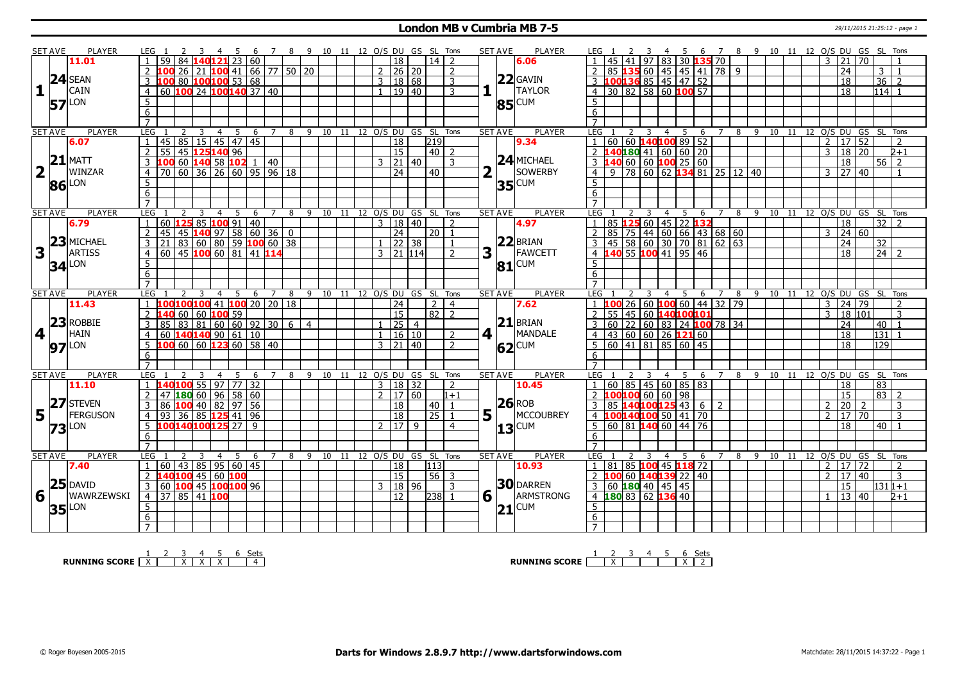#### **London MB v Cumbria MB 7-5** 29/11/2015 21:25:12 - page 1

|             | <b>SET AVE</b> | <b>PLAYER</b>       | LEG 1<br>2                                            | $\overline{\mathbf{3}}$ | 456                                     |                 |                | 7 8 9 10 11 12 O/S DU GS SL Tons   |  |                                   |                 |                | <b>SET AVE</b>         | <b>PLAYER</b>       | LEG <sub>1</sub>        |                                                                                                                                                  | 3              |                 |                |                                               |                |   |         |  |                |                     | 4 5 6 7 8 9 10 11 12 O/S DU GS SL Tons |                                |   |
|-------------|----------------|---------------------|-------------------------------------------------------|-------------------------|-----------------------------------------|-----------------|----------------|------------------------------------|--|-----------------------------------|-----------------|----------------|------------------------|---------------------|-------------------------|--------------------------------------------------------------------------------------------------------------------------------------------------|----------------|-----------------|----------------|-----------------------------------------------|----------------|---|---------|--|----------------|---------------------|----------------------------------------|--------------------------------|---|
|             |                | 11.01               | 59<br>84                                              |                         | 140121 23 60                            |                 |                |                                    |  | 18                                | $14$   2        |                |                        | 6.06                |                         | 41                                                                                                                                               | 97             |                 |                | 83 30 135 70                                  |                |   |         |  | 3 21           |                     | l 70.                                  |                                |   |
|             |                |                     |                                                       |                         | 26 21 <b>100</b> 41 66 77 50 20         |                 |                |                                    |  | 2   26   20                       |                 | $\overline{2}$ |                        |                     | 2                       | 85 135                                                                                                                                           |                |                 |                | 60   45   45   41   78   9                    |                |   |         |  |                | 24                  |                                        | 3 <sup>1</sup><br>$\mathbf{1}$ |   |
|             |                | $24$ SEAN           | $\overline{3}$<br>100                                 |                         | 80 100 100 53 68                        |                 |                |                                    |  |                                   |                 |                |                        | $22$ GAVIN          |                         |                                                                                                                                                  |                |                 |                |                                               |                |   |         |  |                | 18                  |                                        | 36<br>$\overline{2}$           |   |
|             |                | CAIN                |                                                       |                         |                                         |                 |                |                                    |  | 3   18   68                       |                 | 3              |                        | TAYLOR              |                         | $\begin{array}{ c c c c c c c c }\n\hline\n3 & 100 & 136 & 85 & 45 & 47 & 52 \\ \hline\n4 & 30 & 82 & 58 & 60 & 100 & 57 \\ \hline\n\end{array}$ |                |                 |                |                                               |                |   |         |  |                |                     |                                        |                                |   |
| 1           |                |                     | 60 100 24 100 140 37 40<br>$\overline{4}$             |                         |                                         |                 |                |                                    |  | 1   19   40                       |                 | 3              |                        |                     |                         |                                                                                                                                                  |                |                 |                |                                               |                |   |         |  |                | 18                  |                                        | $114$ 1                        |   |
|             | 57             | LON                 | 5                                                     |                         |                                         |                 |                |                                    |  |                                   |                 |                |                        | $85$ <sup>CUM</sup> | -5                      |                                                                                                                                                  |                |                 |                |                                               |                |   |         |  |                |                     |                                        |                                |   |
|             |                |                     | 6                                                     |                         |                                         |                 |                |                                    |  |                                   |                 |                |                        |                     | 6                       |                                                                                                                                                  |                |                 |                |                                               |                |   |         |  |                |                     |                                        |                                |   |
|             |                |                     | $\overline{7}$                                        |                         |                                         |                 |                |                                    |  |                                   |                 |                |                        |                     | $\overline{7}$          |                                                                                                                                                  |                |                 |                |                                               |                |   |         |  |                |                     |                                        |                                |   |
|             | <b>SET AVE</b> | PLAYER              | LEG                                                   | $\overline{3}$<br>4     | 5                                       |                 |                | 6 7 8 9 10 11 12 O/S DU GS SL Tons |  |                                   |                 |                | <b>SET AVE</b>         | PLAYER              | LEG 1                   | 2                                                                                                                                                | $\overline{3}$ | $\overline{4}$  | $\overline{5}$ |                                               |                |   |         |  |                |                     | 6 7 8 9 10 11 12 0/S DU GS SL Tons     |                                |   |
|             |                | 6.07                | 45 85 15 45 47 45<br>$\mathbf{1}$                     |                         |                                         |                 |                |                                    |  | 18                                | 219             |                |                        | 9.34                |                         | 1   60   60   140   100   89   52                                                                                                                |                |                 |                |                                               |                |   |         |  |                | 2   17   52         |                                        | $\overline{2}$                 |   |
|             |                |                     | 55 45 125140 96<br>$\overline{2}$                     |                         |                                         |                 |                |                                    |  | 15                                | $40$   2        |                |                        |                     |                         | 2 <b>140 180</b> 41 60 60 20                                                                                                                     |                |                 |                |                                               |                |   |         |  |                | 3   18   20         |                                        | $2 + 1$                        |   |
|             |                | $21$ MATT           | 3                                                     |                         | 60 <b>140</b> 58 <b>102</b> 1 40        |                 |                |                                    |  | 21 40                             |                 | 3              |                        | $24$ MICHAEL        | $\overline{3}$          | 140                                                                                                                                              |                |                 |                | 60 60 <b>100</b> 25 60                        |                |   |         |  |                | 18                  |                                        | $56$   2                       |   |
|             | $2\sqrt{1}$    | WINZAR              | 70<br>$\overline{4}$                                  |                         | $\mid$ 60   36   26   60   95   96   18 |                 |                |                                    |  | $\overline{24}$                   | 40              |                |                        | SOWERBY             | $\overline{4}$          | 9                                                                                                                                                |                |                 |                | 78 60 62 134 81 25 12 40                      |                |   |         |  |                | 3 27 40             |                                        | $\mathbf{1}$                   |   |
|             |                | 86 LON              | 5                                                     |                         |                                         |                 |                |                                    |  |                                   |                 |                |                        | <b>35</b> CUM       | $5\overline{)}$         |                                                                                                                                                  |                |                 |                |                                               |                |   |         |  |                |                     |                                        |                                |   |
|             |                |                     | $6\overline{}$                                        |                         |                                         |                 |                |                                    |  |                                   |                 |                |                        |                     | 6                       |                                                                                                                                                  |                |                 |                |                                               |                |   |         |  |                |                     |                                        |                                |   |
|             |                |                     | $\overline{7}$                                        |                         |                                         |                 |                |                                    |  |                                   |                 |                |                        |                     | $\overline{7}$          |                                                                                                                                                  |                |                 |                |                                               |                |   |         |  |                |                     |                                        |                                |   |
|             | <b>SET AVE</b> | <b>PLAYER</b>       | <b>LEG</b>                                            | $\overline{4}$          | 5 <sup>1</sup><br>- 6                   | $\overline{7}$  | 8              | 9 10 11 12 O/S DU GS SL Tons       |  |                                   |                 |                | <b>SET AVE</b>         | <b>PLAYER</b>       | <b>LEG</b>              |                                                                                                                                                  | $\overline{3}$ | $\overline{4}$  | -5             | -6                                            | $\overline{7}$ | 8 |         |  |                |                     | 9 10 11 12 0/S DU GS SL Tons           |                                |   |
|             |                | 6.79                | $60$ 125 85 100 91 40<br>$\mathbf{1}$                 |                         |                                         |                 |                |                                    |  | 3   18   40                       |                 | $\mathcal{L}$  |                        | 4.97                | $\overline{1}$          | 85 <b>125</b> 60   45   22 <b>132</b>                                                                                                            |                |                 |                |                                               |                |   |         |  |                | 18                  |                                        | $32$   2                       |   |
|             |                |                     | 45<br>$\overline{2}$                                  |                         | 45 140 97 58 60 36 0                    |                 |                |                                    |  | 24                                | $20 \mid 1$     |                |                        |                     | $\overline{2}$          | 85<br>$\overline{75}$                                                                                                                            |                |                 |                | $144 \mid 60 \mid 66 \mid 43 \mid 68 \mid 60$ |                |   |         |  |                | 3   24   60         |                                        |                                |   |
|             |                | $23$ MICHAEL        | 3<br>21                                               |                         | $83 60 80 59$ 100 60 38                 |                 |                |                                    |  | $1 \overline{)22} \overline{)38}$ |                 | $\mathbf{1}$   |                        | $22$ BRIAN          | $\overline{\mathbf{3}}$ | $\boxed{45}$ 58 60 30 70 81 62 63                                                                                                                |                |                 |                |                                               |                |   |         |  |                | 24                  | 32                                     |                                |   |
| 3           |                | <b>ARTISS</b>       | 60<br>$\overline{4}$                                  |                         | 45 100 60 81 41 114                     |                 |                |                                    |  | $3$   21   114                    |                 | $\mathcal{P}$  | 3                      | FAWCETT             | $\overline{4}$          | 140 55 100 41 95                                                                                                                                 |                |                 |                | 46                                            |                |   |         |  |                | 18                  |                                        | 24 2                           |   |
|             |                |                     | 5                                                     |                         |                                         |                 |                |                                    |  |                                   |                 |                |                        | <b>CUM</b>          | 5                       |                                                                                                                                                  |                |                 |                |                                               |                |   |         |  |                |                     |                                        |                                |   |
|             |                | $34$ <sup>LON</sup> | 6                                                     |                         |                                         |                 |                |                                    |  |                                   |                 |                | 81                     |                     | 6                       |                                                                                                                                                  |                |                 |                |                                               |                |   |         |  |                |                     |                                        |                                |   |
|             |                |                     | $\overline{7}$                                        |                         |                                         |                 |                |                                    |  |                                   |                 |                |                        |                     | $\overline{7}$          |                                                                                                                                                  |                |                 |                |                                               |                |   |         |  |                |                     |                                        |                                |   |
|             | <b>SET AVE</b> | <b>PLAYER</b>       | LEG                                                   | 4                       | -5<br>6                                 | $7\overline{ }$ | 8              | 9 10 11 12 O/S DU GS SL            |  |                                   |                 | Tons           | <b>SET AVE</b>         | <b>PLAYER</b>       | LEG                     |                                                                                                                                                  |                | $\overline{4}$  | 5              | 6                                             |                | 8 | 9 10 11 |  |                |                     | 12 O/S DU GS SL Tons                   |                                |   |
|             |                | 11.43               | 100 <mark>100</mark> 100 41 <mark>100</mark> 20 20 18 |                         |                                         |                 |                |                                    |  | $\overline{24}$                   | $\mathcal{P}$   | 4              |                        | 7.62                | $\overline{1}$          | 100                                                                                                                                              |                | $26 60 $ 100 60 |                |                                               | 44 32 79       |   |         |  | $\overline{3}$ | 24 79               |                                        |                                |   |
|             |                |                     | $\overline{2}$                                        | 60 60 100 59            |                                         |                 |                |                                    |  | $\overline{15}$                   | 82              | $\mathcal{L}$  |                        |                     | 2                       | 55                                                                                                                                               |                |                 |                | 45 60 140100101                               |                |   |         |  | $\mathbf{R}$   | 18 101              |                                        | 3                              |   |
|             |                | $23$ ROBBIE         | $\overline{3}$<br>85                                  |                         |                                         |                 | 6 <sup>1</sup> | $\overline{4}$                     |  | $\sqrt{25/4}$                     |                 |                |                        | $21$ BRIAN          | 3                       | 22<br>60                                                                                                                                         |                |                 |                | 60 83 24 100 78 34                            |                |   |         |  |                | 24                  | 40                                     | $\mathbf{1}$                   |   |
| 4           |                | HAIN                | $\overline{4}$<br>60                                  |                         | <b>83</b> 81 60 60 92 30                |                 |                |                                    |  | $1 \mid 16 \mid 10$               |                 | $\overline{2}$ | $4\sqrt{ }$            | MANDALE             | $\overline{4}$          | $\boxed{43}$ 60 60 26 121 60                                                                                                                     |                |                 |                |                                               |                |   |         |  |                | $\overline{18}$     | 131                                    |                                |   |
|             |                |                     |                                                       |                         |                                         |                 |                |                                    |  |                                   |                 |                |                        |                     |                         |                                                                                                                                                  |                |                 |                |                                               |                |   |         |  |                | $\overline{18}$     | 129                                    |                                |   |
|             |                |                     |                                                       |                         |                                         |                 |                |                                    |  |                                   |                 |                |                        |                     |                         |                                                                                                                                                  |                |                 |                |                                               |                |   |         |  |                |                     |                                        |                                |   |
|             |                | $97$ <sup>LON</sup> | 5<br>00 ا                                             |                         |                                         |                 |                |                                    |  | $3 \mid 21 \mid 40$               |                 | $\mathcal{P}$  |                        | 62 CUM              | 5                       | 60<br>$\overline{141}$                                                                                                                           | 81             |                 |                | 85   60   45                                  |                |   |         |  |                |                     |                                        |                                |   |
|             |                |                     | 6                                                     |                         |                                         |                 |                |                                    |  |                                   |                 |                |                        |                     | 6                       |                                                                                                                                                  |                |                 |                |                                               |                |   |         |  |                |                     |                                        |                                |   |
|             |                |                     | $\overline{7}$                                        |                         |                                         |                 |                |                                    |  |                                   |                 |                |                        |                     | $\overline{7}$          |                                                                                                                                                  |                |                 |                |                                               |                |   |         |  |                |                     |                                        |                                |   |
|             | <b>SET AVE</b> | <b>PLAYER</b>       | <b>LEG</b><br>2                                       | 3<br>$\overline{4}$     | 5<br>- 6                                | 7               |                | 8 9 10 11 12 0/S DU GS SL Tons     |  |                                   |                 |                | <b>SET AVE</b>         | <b>PLAYER</b>       | LEG 1                   |                                                                                                                                                  | 3              | $\overline{4}$  | 5              | 6                                             |                |   |         |  |                |                     | 7 8 9 10 11 12 0/S DU GS SL Tons       |                                |   |
|             |                | 11.10               | 140 <mark>100</mark> 55 97 77 32                      |                         |                                         |                 |                |                                    |  | 3   18   32                       |                 | $\mathcal{P}$  |                        | 10.45               |                         | $1$ 60 85 45 60 85 83                                                                                                                            |                |                 |                |                                               |                |   |         |  |                | 18                  | $\overline{83}$                        |                                |   |
|             |                |                     | $47$ 180 60 96 58 60<br>2                             |                         |                                         |                 |                |                                    |  | 2   17   60                       |                 | $1+1$          |                        |                     | 2                       | $100100$ 60 60 98                                                                                                                                |                |                 |                |                                               |                |   |         |  |                | 15                  |                                        | 83                             |   |
|             |                | $27$ STEVEN         | 3<br>86                                               |                         | $100$ 40 82 97 56                       |                 |                |                                    |  | 18                                | 40              |                |                        | $26$ ROB            | 3                       | 85 140100125 43                                                                                                                                  |                |                 |                | 6 <sup>1</sup>                                | 2              |   |         |  | $\overline{2}$ | $\overline{20}$     |                                        | 3                              |   |
| $5\vert$    |                | FERGUSON            | $93 \mid 36 \mid 85$ 125 41 96<br>$\overline{4}$      |                         |                                         |                 |                |                                    |  | $\overline{18}$                   | $\overline{25}$ |                | $5\vert \bar{1} \vert$ | MCCOUBREY           |                         | 4 100140100 50 41                                                                                                                                |                |                 |                | 70                                            |                |   |         |  | 2              | 17 70               |                                        | 3                              |   |
|             |                |                     | 5<br>10014010012527 9                                 |                         |                                         |                 |                |                                    |  | 2  17   9                         |                 | 4              |                        |                     | $\overline{5}$          | 60 81 140 60 44 76                                                                                                                               |                |                 |                |                                               |                |   |         |  |                | $\overline{18}$     |                                        | l 40 l<br>$\mathbf{1}$         |   |
|             |                | $73$ <sup>LON</sup> | 6                                                     |                         |                                         |                 |                |                                    |  |                                   |                 |                |                        | $13^{\text{CUM}}$   | 6                       |                                                                                                                                                  |                |                 |                |                                               |                |   |         |  |                |                     |                                        |                                |   |
|             |                |                     | $\overline{7}$                                        |                         |                                         |                 |                |                                    |  |                                   |                 |                |                        |                     | $\overline{7}$          |                                                                                                                                                  |                |                 |                |                                               |                |   |         |  |                |                     |                                        |                                |   |
|             | <b>SET AVE</b> | <b>PLAYER</b>       | <b>LEG</b>                                            | 3<br>4                  | -5<br>-6                                | 7               | 8              | 9 10 11 12 O/S DU GS SL Tons       |  |                                   |                 |                | <b>SET AVE</b>         | PLAYER              | LEG                     | 2                                                                                                                                                | 3              | $\overline{4}$  | -5             | -6                                            | 7              | 8 | 9 10    |  |                |                     | 11 12 0/S DU GS SL Tons                |                                |   |
|             |                | 7.40                | $\mathbf{1}$<br>60                                    |                         | 43 85 95 60 45                          |                 |                |                                    |  | <b>18</b>                         | 113             |                |                        | 10.93               | $\mathbf{1}$            | 81                                                                                                                                               |                |                 |                | 85 100 45 118 72                              |                |   |         |  |                | $2 \mid 17 \mid 72$ |                                        | $\mathcal{P}$                  |   |
|             |                |                     | 140100 45 60 100<br>2                                 |                         |                                         |                 |                |                                    |  | 15                                | $56 \mid 3$     |                |                        |                     | $\overline{2}$          | 100                                                                                                                                              |                |                 |                | 60 140139 22 40                               |                |   |         |  | $\mathcal{D}$  | 17 40               |                                        |                                | 3 |
|             |                | $25$ DAVID          | 60 100 45 100100 96<br>3 <sup>1</sup>                 |                         |                                         |                 |                |                                    |  | 3   18   96                       |                 | 3              |                        | <b>30 DARREN</b>    |                         | 3   60   180   40   45   45                                                                                                                      |                |                 |                |                                               |                |   |         |  |                | 15                  |                                        | $1311+1$                       |   |
| $6\sqrt{ }$ |                | lwawrzewski         | 37 85 41 100<br>$\overline{4}$                        |                         |                                         |                 |                |                                    |  | 12                                | 238             | $\mathbf{1}$   | 6 1                    | ARMSTRONG           |                         | 4 180 83 62 136 40                                                                                                                               |                |                 |                |                                               |                |   |         |  |                | 13 40               |                                        | $2 + 1$                        |   |
|             |                |                     | 5                                                     |                         |                                         |                 |                |                                    |  |                                   |                 |                |                        |                     | 5                       |                                                                                                                                                  |                |                 |                |                                               |                |   |         |  |                |                     |                                        |                                |   |
|             |                | $35$ <sup>LON</sup> | 6                                                     |                         |                                         |                 |                |                                    |  |                                   |                 |                | $\mathbf{21}$          | <b>CUM</b>          | 6                       |                                                                                                                                                  |                |                 |                |                                               |                |   |         |  |                |                     |                                        |                                |   |

**RUNNING SCORE** <u>| X | X | X | X | X | 4</u><br>**ANDING SCORE** | <u>X | X | X | X | 4</u>

**RUNNING SCORE**  $\begin{array}{|c|c|c|c|c|c|}\n\hline\n & 2 & 3 & 4 & 5 & 6 & \text{Sets} \\
\hline\n\end{array}$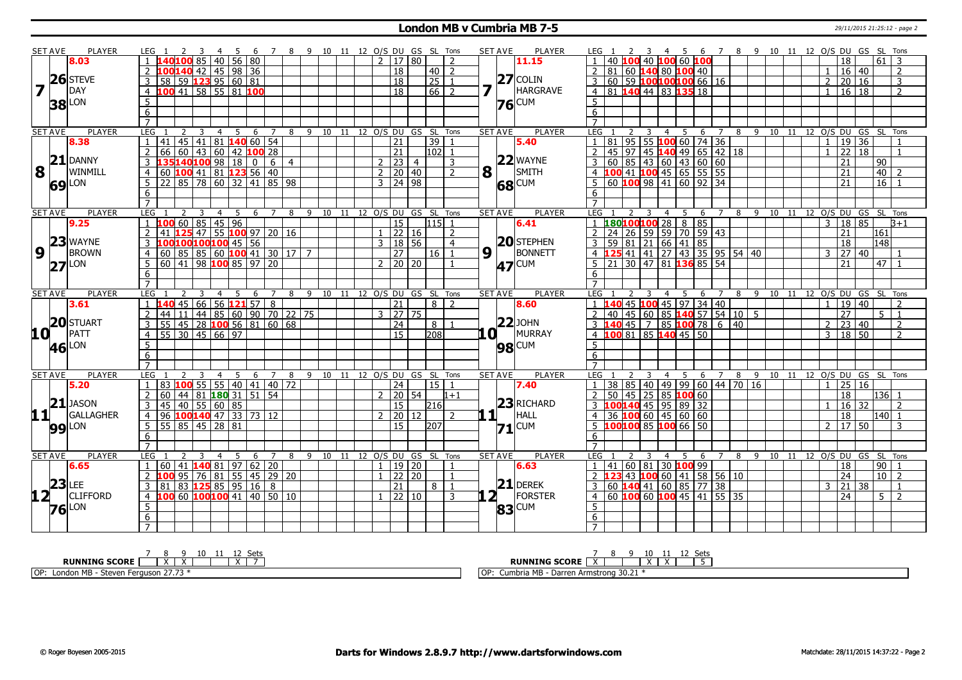### **London MB v Cumbria MB 7-5** 29/11/2015 21:25:12 - page 2

| <b>SET AVE</b>          |    | <b>PLAYER</b>       | LEG 1                                                         | 3                        |                      | 4 5 6 7 8 9 10 11 12 O/S DU GS SL Tons |                 |   |                                    |                         |  |               |                           |                |                |                | <b>SET AVE</b> | <b>PLAYER</b>  | LEG 1               |                                                        |               |                                       | 456             |                                     |                |   |  | 7 8 9 10 11 12 O/S DU GS SL Tons |                 |               |                 |                  |
|-------------------------|----|---------------------|---------------------------------------------------------------|--------------------------|----------------------|----------------------------------------|-----------------|---|------------------------------------|-------------------------|--|---------------|---------------------------|----------------|----------------|----------------|----------------|----------------|---------------------|--------------------------------------------------------|---------------|---------------------------------------|-----------------|-------------------------------------|----------------|---|--|----------------------------------|-----------------|---------------|-----------------|------------------|
|                         |    | 8.03                | 140100 85 40 56 80<br>$\overline{1}$                          |                          |                      |                                        |                 |   |                                    |                         |  |               | $2 \mid 17 \mid 80$       |                | $\mathcal{P}$  |                |                | 11.15          |                     |                                                        |               | 40 <b> 100</b> 60 <b> 100</b>         |                 |                                     |                |   |  |                                  | 18              |               | 61 I            | 3                |
|                         |    |                     | LOO <mark>140</mark> 42   45   98   36                        |                          |                      |                                        |                 |   |                                    |                         |  |               | 18                        | $40$   2       |                |                |                |                | 2                   | 81                                                     |               | 60 <b>140</b> 80 <b>100</b> 40        |                 |                                     |                |   |  |                                  |                 | $16 \mid 40$  |                 | 2                |
|                         |    | $26$ STEVE          | 58 59 123 95 60 81<br>3                                       |                          |                      |                                        |                 |   |                                    |                         |  |               | 18                        | 25             | $\overline{1}$ |                |                | $27$ COLIN     | 3                   | 60                                                     |               | 59 <b>100100100</b> 66   16           |                 |                                     |                |   |  | $\overline{2}$                   |                 | 20 16         |                 | 3                |
| $\overline{\mathbf{z}}$ |    | DAY                 | 4 100 41 58 55 81 100                                         |                          |                      |                                        |                 |   |                                    |                         |  |               | 18                        | $66$ 2         |                | 7              |                | HARGRAVE       | $\overline{4}$      | 81 140 44 83 135 18                                    |               |                                       |                 |                                     |                |   |  |                                  |                 | 1   16   18   |                 | $\overline{2}$   |
|                         |    |                     | 5                                                             |                          |                      |                                        |                 |   |                                    |                         |  |               |                           |                |                |                |                |                | 5                   |                                                        |               |                                       |                 |                                     |                |   |  |                                  |                 |               |                 |                  |
|                         |    | <b>38</b> LON       | 6                                                             |                          |                      |                                        |                 |   |                                    |                         |  |               |                           |                |                |                |                | <b>76</b> CUM  | 6                   |                                                        |               |                                       |                 |                                     |                |   |  |                                  |                 |               |                 |                  |
|                         |    |                     | $\overline{7}$                                                |                          |                      |                                        |                 |   |                                    |                         |  |               |                           |                |                |                |                |                | $\overline{7}$      |                                                        |               |                                       |                 |                                     |                |   |  |                                  |                 |               |                 |                  |
| <b>SET AVE</b>          |    | <b>PLAYER</b>       | <b>LEG</b><br>$\mathcal{P}$                                   | 3                        | $\overline{4}$<br>5  | 6                                      | $7\overline{ }$ |   | 8 9 10 11 12 0/S DU GS SL          |                         |  |               |                           |                | Tons           |                | <b>SET AVE</b> | <b>PLAYER</b>  | <b>LEG</b>          |                                                        | $\mathcal{L}$ | 3<br>$\overline{4}$                   | -5              | 6                                   | $\overline{7}$ |   |  | 8 9 10 11 12 0/S DU GS SL Tons   |                 |               |                 |                  |
|                         |    | 8.38                | 41 45 41 81 140 60 54<br>1                                    |                          |                      |                                        |                 |   |                                    |                         |  |               | 21                        | 39             |                |                |                | 5.40           | $\mathbf{1}$        | 81                                                     | 95            | 55 100 60 74 36                       |                 |                                     |                |   |  | $\mathbf{1}$                     |                 | 19 36         |                 |                  |
|                         |    |                     | 66 60 43 60 42 100 28<br>2                                    |                          |                      |                                        |                 |   |                                    |                         |  |               | $\overline{21}$           | $102$ 1        |                |                |                |                | $\overline{2}$      | $\sqrt{97}$<br>45                                      |               | 45 140 49 65 42 18                    |                 |                                     |                |   |  |                                  |                 | 22 18         |                 | $\mathbf{1}$     |
|                         |    | $21$ DANNY          | 3 135140100 98 18 0 6 4                                       |                          |                      |                                        |                 |   |                                    |                         |  |               | 2   23   4                |                | 3              |                |                | $22$ WAYNE     | $\overline{3}$      | 60                                                     |               | 85   43   60   43   60   60           |                 |                                     |                |   |  |                                  | $\overline{21}$ |               | l 90            |                  |
| 8                       |    | WINMILL             | 60 100 41 81 123 56 40<br>$\overline{4}$                      |                          |                      |                                        |                 |   |                                    |                         |  |               | $2 \ 20 \ 40$             |                | $\overline{2}$ | 8              |                | $ $   SMITH    | $\overline{4}$      | 100 41 100 45 65 55 55                                 |               |                                       |                 |                                     |                |   |  |                                  | $\overline{21}$ |               | $ 40\rangle$    | $\mathcal{P}$    |
|                         |    |                     | 22   85   78   60   32   41   85   98<br>-5                   |                          |                      |                                        |                 |   |                                    |                         |  |               | 3   24   98               |                |                |                |                |                | 5                   | 60                                                     |               | $100$ 98 41 60 92 34                  |                 |                                     |                |   |  |                                  | $\overline{21}$ |               | $\overline{16}$ |                  |
|                         |    | <b>69</b> LON       | 6                                                             |                          |                      |                                        |                 |   |                                    |                         |  |               |                           |                |                |                |                | 68 CUM         | 6                   |                                                        |               |                                       |                 |                                     |                |   |  |                                  |                 |               |                 |                  |
|                         |    |                     | $\overline{7}$                                                |                          |                      |                                        |                 |   |                                    |                         |  |               |                           |                |                |                |                |                |                     |                                                        |               |                                       |                 |                                     |                |   |  |                                  |                 |               |                 |                  |
|                         |    | <b>PLAYER</b>       | LEG                                                           | 3                        | $\overline{4}$       |                                        |                 |   | 6 7 8 9 10 11 12 0/S DU GS SL Tons |                         |  |               |                           |                |                |                | <b>SET AVE</b> | <b>PLAYER</b>  | LEG <sub>1</sub>    |                                                        |               | 3                                     |                 |                                     | $\overline{7}$ |   |  | 8 9 10 11 12 0/S DU GS SL Tons   |                 |               |                 |                  |
| <b>SET AVE</b>          |    | 9.25                | 1006608514596<br>$\overline{1}$                               |                          | 5                    |                                        |                 |   |                                    |                         |  |               | 15                        | $115$ 1        |                |                |                | 6.41           |                     | 180100100 28                                           |               | $\overline{4}$                        | 5               | $6\overline{6}$<br>$8 \overline{8}$ |                |   |  | $\mathbf{3}$                     |                 | 18 85         |                 | $3+1$            |
|                         |    |                     | 2<br>41                                                       | $125$ 47 55 100 97 20 16 |                      |                                        |                 |   |                                    |                         |  |               | 22 16                     |                | $\overline{2}$ |                |                |                | $\overline{2}$      | 24                                                     | 26            | 59   59   70   59   43                |                 |                                     |                |   |  |                                  | 21              |               | 161             |                  |
|                         |    | $23$ WAYNE          | 3 100100100100 45 56                                          |                          |                      |                                        |                 |   |                                    |                         |  |               | 3   18   56               |                | $\overline{4}$ |                |                | $20$ STEPHEN   | $\overline{3}$      | 59                                                     |               | 81 21 66 41 85                        |                 |                                     |                |   |  |                                  | $\overline{18}$ |               | 148             |                  |
| $\boldsymbol{9}$        |    | <b>BROWN</b>        | $4   60   85   85   60$ <b>100</b> 41   30   17   7           |                          |                      |                                        |                 |   |                                    |                         |  |               | $\overline{27}$           | $16$   1       |                | $9\sqrt{1}$    |                | BONNETT        | $\overline{4}$      |                                                        |               | 41   41   27   43   35   95   54   40 |                 |                                     |                |   |  |                                  |                 | 3   27   40   |                 |                  |
|                         |    |                     |                                                               |                          |                      |                                        |                 |   |                                    |                         |  |               | $2 \mid 20 \mid 20$       |                | $\mathbf{1}$   |                |                |                | $\overline{5}$      | 21                                                     |               |                                       |                 |                                     |                |   |  |                                  | 21              |               | 47   1          |                  |
|                         | 27 | LON                 | 5   60   41   98   100   85   97   20                         |                          |                      |                                        |                 |   |                                    |                         |  |               |                           |                |                |                |                | 47 CUM         |                     |                                                        |               | 30 47 81 136 85 54                    |                 |                                     |                |   |  |                                  |                 |               |                 |                  |
|                         |    |                     | 6<br>$\overline{7}$                                           |                          |                      |                                        |                 |   |                                    |                         |  |               |                           |                |                |                |                |                | 6<br>$\overline{7}$ |                                                        |               |                                       |                 |                                     |                |   |  |                                  |                 |               |                 |                  |
| <b>SET AVE</b>          |    | <b>PLAYER</b>       | LEG                                                           |                          | 5<br>$\overline{4}$  | 6                                      | $\overline{7}$  | 8 | 9 10 11 12 0/S DU GS SL Tons       |                         |  |               |                           |                |                |                | <b>SET AVE</b> | <b>PLAYER</b>  | <b>LEG</b>          |                                                        |               | $\overline{4}$                        | $5\overline{5}$ | 6                                   | $7^{\circ}$    |   |  | 8 9 10 11 12 0/S DU GS SL Tons   |                 |               |                 |                  |
|                         |    | 3.61                | $140$ 45 66 56 121 57 8<br>$\blacksquare$                     |                          |                      |                                        |                 |   |                                    |                         |  |               | 21                        | $8 \mid 2$     |                |                |                | 8.60           | $\mathbf{1}$        | <mark>140</mark> 45 <mark>100</mark> 45   97   34   40 |               |                                       |                 |                                     |                |   |  |                                  |                 | 1   19   40   |                 | $\mathcal{P}$    |
|                         |    |                     | 44 11 44 85 60 90 70 22 75<br>$\overline{2}$                  |                          |                      |                                        |                 |   |                                    |                         |  |               | $3 \mid 27 \mid 75$       |                |                |                |                |                | $\overline{2}$      | 40                                                     | 45            | 60                                    |                 | 85 140 57 54 10 5                   |                |   |  |                                  | $\overline{27}$ |               | 5 <sub>1</sub>  | $\mathbf{1}$     |
|                         |    | $ 20 $ STUART       | $55 \mid 45 \mid 28$ 100 56 81 60 68<br>$\mathbf{3}$          |                          |                      |                                        |                 |   |                                    |                         |  |               | $\overline{24}$           | 8 <sup>1</sup> |                |                |                | $ 22 $ JOHN    | 3                   |                                                        | 45 7          |                                       |                 | 85 100 78 6 40                      |                |   |  |                                  |                 | $2 \ 23 \ 40$ |                 | 2                |
| 10 <sup>T</sup>         |    | PATT                | 55 30 45 66 97<br>$\overline{4}$                              |                          |                      |                                        |                 |   |                                    |                         |  |               | 15                        | 208            |                |                |                | MURRAY         | $\overline{4}$      | 100 81 85 140 45 50                                    |               |                                       |                 |                                     |                |   |  | $\mathbf{3}$                     |                 | $18 \mid 50$  |                 | $\overline{2}$   |
|                         |    |                     |                                                               |                          |                      |                                        |                 |   |                                    |                         |  |               |                           |                |                |                |                |                |                     |                                                        |               |                                       |                 |                                     |                |   |  |                                  |                 |               |                 |                  |
|                         |    | <b>46</b> LON       | 5                                                             |                          |                      |                                        |                 |   |                                    |                         |  |               |                           |                |                |                |                | <b>98</b> CUM  | 5                   |                                                        |               |                                       |                 |                                     |                |   |  |                                  |                 |               |                 |                  |
|                         |    |                     | 6<br>$\overline{7}$                                           |                          |                      |                                        |                 |   |                                    |                         |  |               |                           |                |                |                |                |                | 6<br>$\overline{7}$ |                                                        |               |                                       |                 |                                     |                |   |  |                                  |                 |               |                 |                  |
|                         |    | <b>PLAYER</b>       |                                                               |                          |                      |                                        |                 |   |                                    |                         |  |               |                           |                |                |                | <b>SET AVE</b> | <b>PLAYER</b>  | LEG                 |                                                        |               |                                       |                 |                                     |                |   |  |                                  |                 |               |                 |                  |
| <b>SET AVE</b>          |    |                     | LEG<br>$\overline{1}$                                         |                          | 5<br>4               | 6                                      |                 | 8 |                                    | 9 10 11 12 O/S DU GS SL |  |               |                           | 15             | Tons           |                |                |                |                     | 38 85 40 49 99 60 44 70 16                             |               | 4                                     | 5               | 6                                   | 7              | 8 |  | 9 10 11 12 O/S DU GS SL Tons     |                 |               |                 |                  |
|                         |    | 5.20                | 83 100 55 55 40 41 40 72<br>60   44   81   180   31   51   54 |                          |                      |                                        |                 |   |                                    |                         |  |               | $\overline{24}$           |                |                |                |                | 7.40           |                     | 50                                                     |               | 45 25 85 100 60                       |                 |                                     |                |   |  |                                  |                 | 25 16         |                 |                  |
|                         |    | $21$ JASON          | $\overline{2}$<br>3   45   40   55   60   85                  |                          |                      |                                        |                 |   |                                    |                         |  |               | $2 \mid 20 \mid 54$<br>15 | 216            | $1 + 1$        |                |                | $23$ RICHARD   | $\overline{2}$<br>3 | 100140 45 95 89 32                                     |               |                                       |                 |                                     |                |   |  |                                  | 18              | $16 \mid 32$  | 136             | $\overline{2}$   |
| 11+                     |    | GALLAGHER           | 4 96 100 140 47 33 73 12                                      |                          |                      |                                        |                 |   |                                    |                         |  | $\mathcal{P}$ | 20 12                     |                | $\mathcal{P}$  | 1 <sup>1</sup> |                | HALL           | $\overline{4}$      | $36$ 100 60 45 60 60                                   |               |                                       |                 |                                     |                |   |  |                                  | 18              |               | $ 140 $ 1       |                  |
|                         |    |                     | 5                                                             |                          |                      |                                        |                 |   |                                    |                         |  |               | 15                        | 207            |                |                |                |                | 5                   | 100 100 85 100 66 50                                   |               |                                       |                 |                                     |                |   |  | $\overline{2}$                   |                 | 17150         |                 |                  |
|                         |    | <b>99</b> LON       | 55 85 45 28 81                                                |                          |                      |                                        |                 |   |                                    |                         |  |               |                           |                |                |                |                | $71$ CUM       |                     |                                                        |               |                                       |                 |                                     |                |   |  |                                  |                 |               |                 | 3                |
|                         |    |                     | 6                                                             |                          |                      |                                        |                 |   |                                    |                         |  |               |                           |                |                |                |                |                | 6                   |                                                        |               |                                       |                 |                                     |                |   |  |                                  |                 |               |                 |                  |
|                         |    | <b>PLAYER</b>       | $\overline{7}$                                                |                          |                      |                                        |                 |   |                                    |                         |  |               |                           |                |                |                |                | <b>PLAYER</b>  | $\overline{7}$      |                                                        |               |                                       |                 |                                     |                |   |  |                                  |                 |               |                 |                  |
| <b>SET AVE</b>          |    |                     | <b>LEG</b>                                                    | 3                        | $\overline{4}$<br>-5 | 6                                      | 7               |   | 8 9 10 11 12 0/S DU GS SL Tons     |                         |  |               |                           |                |                |                | <b>SET AVE</b> |                | LEG                 |                                                        |               | 3<br>4                                | 5               | - 6                                 | $\overline{7}$ | 8 |  | 9 10 11 12 O/S DU GS SL Tons     |                 |               |                 |                  |
|                         |    | 6.65                | 60 41 <b>140</b> 81 97 62 20<br>$\overline{1}$                |                          |                      |                                        |                 |   |                                    |                         |  |               | $1$ 19 20                 |                |                |                |                | 6.63           | $\mathbf{1}$        | 41                                                     |               | $\boxed{60}$ 81 30 100 99             |                 |                                     |                |   |  |                                  | $\overline{18}$ |               | 90 1            |                  |
|                         | 23 | LEE                 | 2 <b>100</b> 95 76 81 55 45 29 20                             |                          |                      |                                        |                 |   |                                    |                         |  |               | 22 20                     |                | $\overline{1}$ |                |                | $21$ DEREK     | $\overline{2}$      |                                                        |               | $\vert$ 43 <b>100</b> 60 41 58 56 10  |                 |                                     |                |   |  |                                  | $\overline{24}$ |               |                 | $10\overline{2}$ |
|                         |    |                     | $\overline{3}$<br>$ 81 83$ <b>125</b> 85 95 16 8              |                          |                      |                                        |                 |   |                                    |                         |  |               | $\overline{21}$           | 8 <sup>1</sup> | $\overline{1}$ |                |                |                | 3                   | 60                                                     |               | $140$ 41 60 85 77 38                  |                 |                                     |                |   |  | 3                                |                 | 21 38         |                 |                  |
| 12 <sub>1</sub>         |    | <b>CLIFFORD</b>     | 4 100 60 100 100 41 40 50 10                                  |                          |                      |                                        |                 |   |                                    |                         |  |               | 22 10                     |                | 3              |                |                | <b>FORSTER</b> | $\overline{4}$      | 60 <b>100</b> 60 <b>100</b> 45 41 55 35                |               |                                       |                 |                                     |                |   |  |                                  | $\overline{24}$ |               |                 | $5 \mid 2$       |
|                         |    | $76$ <sup>LON</sup> | 5                                                             |                          |                      |                                        |                 |   |                                    |                         |  |               |                           |                |                |                |                | $83$ CUM       | 5                   |                                                        |               |                                       |                 |                                     |                |   |  |                                  |                 |               |                 |                  |
|                         |    |                     | 6                                                             |                          |                      |                                        |                 |   |                                    |                         |  |               |                           |                |                |                |                |                |                     |                                                        |               |                                       |                 |                                     |                |   |  |                                  |                 |               |                 |                  |
|                         |    |                     | $\overline{7}$                                                |                          |                      |                                        |                 |   |                                    |                         |  |               |                           |                |                |                |                |                | 6<br>$\overline{7}$ |                                                        |               |                                       |                 |                                     |                |   |  |                                  |                 |               |                 |                  |

| 10<br>- ⊆otr<br>ັບປະ                                                  | 10<br>ים<br>.<br>--                                         |
|-----------------------------------------------------------------------|-------------------------------------------------------------|
| <b>RUNNING SCORE</b><br>. .<br>$\overline{\phantom{a}}$               | <b>RUNNING SCORE</b><br>$\cdot$<br>$\overline{\phantom{a}}$ |
| $- - -$<br>TOP <sup>-</sup><br>. London MP<br>Steven<br>Erguson 27.73 | Darren Armstrong 30.21 *<br>a MB<br>TOP:<br>Cumbria         |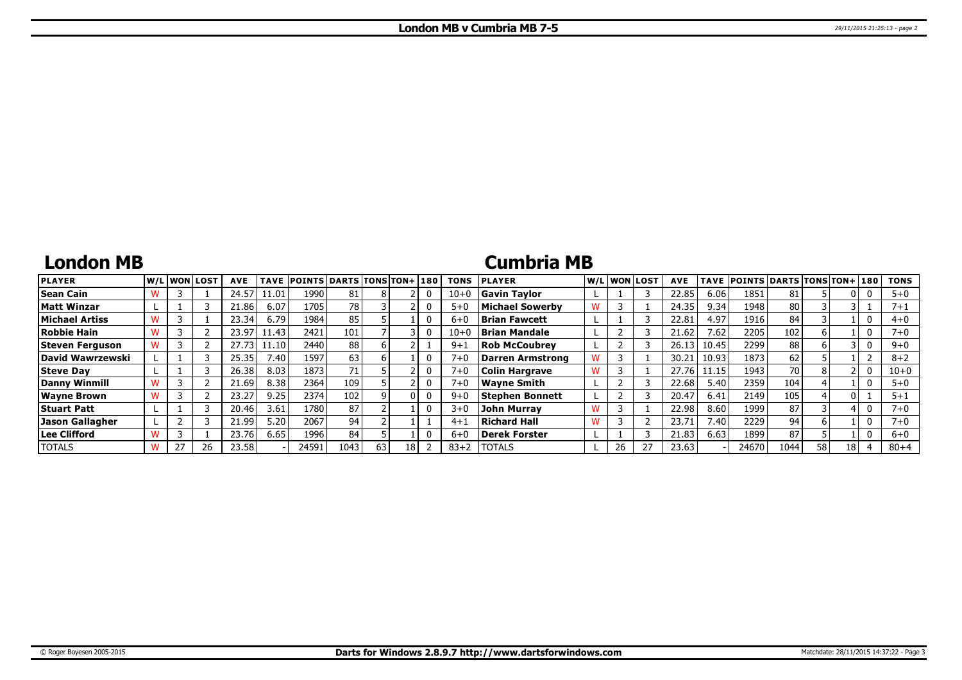## **London MB**

## **Cumbria MB**

| <b>PLAYER</b>          |  | W/Liwonilost! | <b>AVE</b> | <b>TAVE</b> | <b>POINTS DARTS TONS TON+1180</b> |      |    |    |   | <b>TONS</b> | <b>PLAYER</b>         |   |    | W/L WON LOST | <b>AVE</b> | TAVE  | POINTS DARTS TONS TON+ 180 |      |    |    |   | <b>TONS</b> |
|------------------------|--|---------------|------------|-------------|-----------------------------------|------|----|----|---|-------------|-----------------------|---|----|--------------|------------|-------|----------------------------|------|----|----|---|-------------|
| Sean Cain              |  |               | 24.57      | 11.01       | 1990                              | 81   |    |    |   | $10 + 0$    | <b>Gavin Tavlor</b>   |   |    |              | 22.85      | 6.06  | 185                        | 81   |    |    | υ | $5 + 0$     |
| Matt Winzar            |  |               | 21.86      | 6.07        | 1705                              | 78 I |    |    |   | $5 + 0$     | Michael Sowerby       | W |    |              | 24.35      | 9.34  | 1948                       | 80   |    |    |   | 7+1         |
| Michael Artiss         |  |               | 23.34      | 6.79        | 1984                              | 85   |    |    |   | $6 + 0$     | <b>Brian Fawcett</b>  |   |    |              | 22.81      | 4.97  | 1916                       | 84   |    |    | 0 | $4 + 0$     |
| Robbie Hain            |  |               | 23.97      | 1.43        | 2421                              | 101  |    |    |   | $10 + 0$    | <b>Brian Mandale</b>  |   |    |              | 21.62      | 7.62  | 2205                       | 102  |    |    | 0 | $7 + 0$     |
| Steven Ferguson        |  |               | 27.73      | l 1.10      | 2440                              | 88   |    |    |   | $9 + 1$     | <b>Rob McCoubrev</b>  |   |    |              | 26.13      | 10.45 | 2299                       | 88   |    |    | 0 | $9 + 0$     |
| David Wawrzewski       |  |               | 25.35      | 7.40        | 1597                              | 63   |    |    |   | $7 + 0$     | Darren Armstrong      |   |    |              | 30.21      | 10.93 | 1873                       | 62   |    |    |   | $8 + 2$     |
| Steve Day              |  |               | 26.38      | 8.03        | 1873                              |      |    |    |   | $7 + 0$     | <b>Colin Hargrave</b> |   |    |              | 27.76      | 11.15 | 1943                       | 70   |    |    | 0 | $10 + 0$    |
| Danny Winmill          |  |               | 21.69      | 8.38        | 2364                              | 109  |    |    | 0 | $7 + 0$     | <b>Wavne Smith</b>    |   |    |              | 22.68      | 5.40  | 2359                       | 104  |    |    | 0 | $5 + 0$     |
| <b>Wayne Brown</b>     |  |               | 23.27      | 9.25        | 2374                              | 102  |    |    | 0 | $9+0$       | Stephen Bonnett       |   |    |              | 20.47      | 6.41  | 2149                       | 105  |    |    |   | $5 + 1$     |
| <b>Stuart Patt</b>     |  |               | 20.46      | 3.61        | 1780                              | 87   |    |    |   | $3+0$       | John Murray           |   |    |              | 22.98      | 8.60  | 1999                       | 87   |    |    | 0 | $7 + 0$     |
| <b>Jason Gallagher</b> |  |               | 21.99      | 5.20        | 2067                              | 94   |    |    |   | $4 + 1$     | Richard Hall          | W |    |              | 23.71      | 7.40  | 2229                       | 94   |    |    | 0 | 7+0         |
| Lee Clifford           |  |               | 23.76      | 6.65        | 1996                              | 84   |    |    |   | $6 + 0$     | Derek Forster         |   |    |              | 21.83      | 6.63  | 1899                       | 87   |    |    |   | $6 + 0$     |
| <b>TOTALS</b>          |  | 26            | 23.58      |             | 24591                             | 1043 | 63 | 18 |   | $83 + 2$    | <b>ITOTALS</b>        |   | 26 |              | 23.63      |       | 24670                      | 1044 | 58 | 18 |   | $80 + 4$    |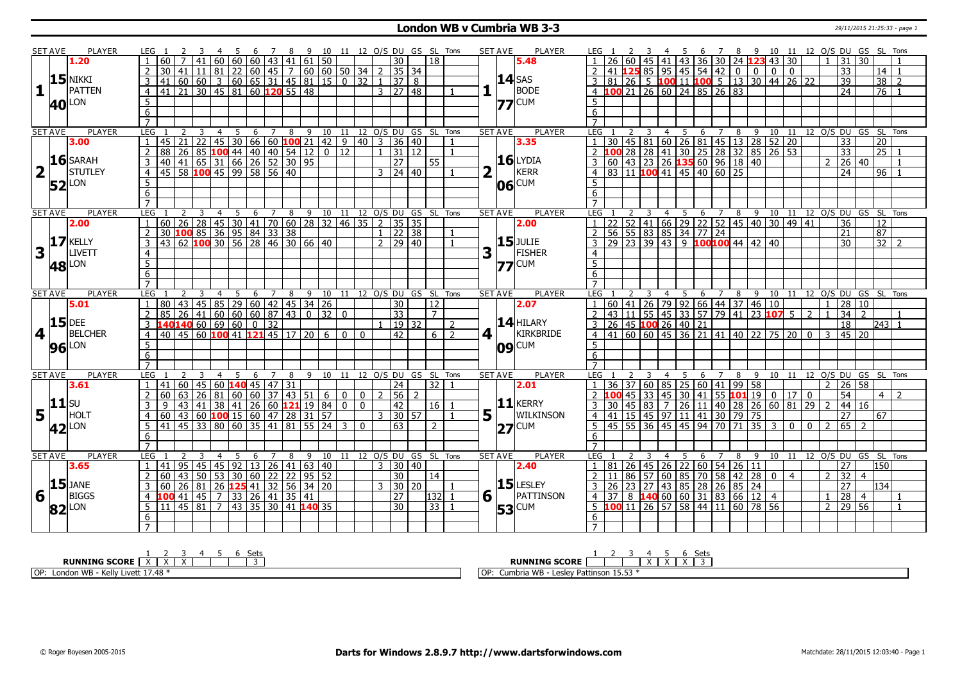### **London WB v Cumbria WB 3-3** 29/11/2015 21:25:33 - page 1

|                         | <b>SET AVE</b> | <b>PLAYER</b>       |                         | LEG 1                                             | 3 | -4             | 5               |                |                | 6 7 8 9 10 11 12 O/S DU GS SL Tons |                              |                                                          |                |              |              |                                                                                |               |                             |                                    |                | <b>SET AVE</b> | <b>PLAYER</b>                       | LEG 1           |                 |                       | 3               |                    |    |   |                                                        |                |                |                |                                             |                 |                |                        |                                      | 4 5 6 7 8 9 10 11 12 O/S DU GS SL Tons |                |
|-------------------------|----------------|---------------------|-------------------------|---------------------------------------------------|---|----------------|-----------------|----------------|----------------|------------------------------------|------------------------------|----------------------------------------------------------|----------------|--------------|--------------|--------------------------------------------------------------------------------|---------------|-----------------------------|------------------------------------|----------------|----------------|-------------------------------------|-----------------|-----------------|-----------------------|-----------------|--------------------|----|---|--------------------------------------------------------|----------------|----------------|----------------|---------------------------------------------|-----------------|----------------|------------------------|--------------------------------------|----------------------------------------|----------------|
|                         |                | 1.20                |                         | 60.                                               |   | 60             |                 |                |                |                                    |                              |                                                          |                |              |              | $\overline{30}$                                                                |               | 18                          |                                    |                |                | 5.48                                |                 |                 | 60                    |                 | 41                 |    |   | 43 36 30 24 123                                        |                |                | 43 30          |                                             |                 |                | 31                     | 30                                   |                                        |                |
|                         |                |                     |                         |                                                   |   |                |                 |                |                |                                    |                              | 30   41   11   81   22   60   45   7   60   60   50   34 |                |              | 2            | 35 34                                                                          |               |                             |                                    |                |                |                                     |                 | 41              |                       |                 |                    |    |   | <b>125</b> 85 95 45 54 42                              | $\overline{0}$ | $\overline{0}$ | 0 <sup>1</sup> | $\mathbf{0}$                                |                 |                | 33                     |                                      | 14                                     |                |
|                         |                | $15$ NIKKI          |                         | 3  41  60  60                                     |   |                |                 |                |                |                                    |                              | $3   60   65   31   45   81   15   0$                    |                | 32           | $\mathbf{1}$ |                                                                                | 37 8          |                             |                                    |                |                | $14$ SAS                            | $\overline{3}$  | 81              | $\overline{26}$       |                 |                    |    |   | 5 100 11 100 5 13 30 44 26 22                          |                |                |                |                                             |                 |                | 39                     |                                      | 38                                     | $\overline{2}$ |
| 1                       |                | PATTEN              |                         | 4 4 41 21 30 45 81 60 120 55 48                   |   |                |                 |                |                |                                    |                              |                                                          |                |              |              | $3 \mid 27 \mid 48$                                                            |               |                             |                                    | 1              |                | <b>BODE</b>                         | $\overline{4}$  |                 |                       |                 |                    |    |   | <b>100</b> 21 26 60 24 85 26 83                        |                |                |                |                                             |                 |                | 24                     |                                      | $\overline{76}$                        | $\overline{1}$ |
|                         |                |                     | -5                      |                                                   |   |                |                 |                |                |                                    |                              |                                                          |                |              |              |                                                                                |               |                             |                                    |                |                | $77$ CUM                            | 5               |                 |                       |                 |                    |    |   |                                                        |                |                |                |                                             |                 |                |                        |                                      |                                        |                |
|                         |                | <b>40</b> LON       | $6\overline{}$          |                                                   |   |                |                 |                |                |                                    |                              |                                                          |                |              |              |                                                                                |               |                             |                                    |                |                |                                     | 6               |                 |                       |                 |                    |    |   |                                                        |                |                |                |                                             |                 |                |                        |                                      |                                        |                |
|                         |                |                     | $\overline{7}$          |                                                   |   |                |                 |                |                |                                    |                              |                                                          |                |              |              |                                                                                |               |                             |                                    |                |                |                                     | $\overline{7}$  |                 |                       |                 |                    |    |   |                                                        |                |                |                |                                             |                 |                |                        |                                      |                                        |                |
|                         | <b>SET AVE</b> | <b>PLAYER</b>       | <b>LEG</b>              |                                                   |   | $\overline{4}$ |                 |                | $\overline{7}$ | 8                                  |                              |                                                          |                |              |              |                                                                                |               |                             | 9 10 11 12 O/S DU GS SL Tons       |                | <b>SET AVE</b> | <b>PLAYER</b>                       | <b>LEG</b>      |                 |                       |                 |                    |    |   |                                                        |                |                |                |                                             |                 |                |                        | 9 10 11 12 0/S DU GS SL Tons         |                                        |                |
|                         |                | 3.00                | $\overline{1}$          |                                                   |   |                | $5\overline{)}$ | $6\overline{}$ |                |                                    |                              |                                                          |                |              |              | $\frac{145}{21}$ 22   45   30   66   60   100   21   42   9   40   3   36   40 |               |                             | $\mathbf{1}$                       |                |                | 3.35                                | $\mathbf{1}$    | 30              |                       |                 |                    |    |   | 2 3 4 5 6 7 8 9 10 11<br>45 81 60 26 81 45 13 28 52 20 |                |                |                |                                             |                 |                | $\overline{33}$        |                                      | $\overline{20}$                        |                |
|                         |                |                     | $\overline{2}$          |                                                   |   |                |                 |                |                |                                    |                              | 88 26 85 100 44 40 40 54 12 0 12                         |                |              |              | $1 \mid 31 \mid 12$                                                            |               |                             | $\overline{1}$                     |                |                |                                     | $\overline{2}$  | 100             |                       |                 |                    |    |   | 28 28 41 30 25 28 32 85 26 53                          |                |                |                |                                             |                 |                | 33                     |                                      | $\sqrt{25}$ 1                          |                |
|                         |                | $16$ SARAH          | $\overline{\mathbf{3}}$ | 40 41 65 31 66 26 52 30 95                        |   |                |                 |                |                |                                    |                              |                                                          |                |              |              | 27                                                                             |               | 55                          |                                    |                |                | <b>16</b> LYDIA                     | 3               | 60              |                       | 43 23           |                    |    |   |                                                        |                |                |                |                                             |                 |                | 26 40                  |                                      |                                        |                |
|                         |                | <b>STUTLEY</b>      |                         |                                                   |   |                |                 |                |                |                                    |                              |                                                          |                |              |              |                                                                                |               |                             |                                    |                |                | KERR                                |                 |                 |                       |                 |                    |    |   | $26$ <b>135</b> 60 96 18 40                            |                |                |                |                                             |                 |                |                        |                                      |                                        |                |
| $\overline{\mathbf{2}}$ |                |                     |                         | $4   45   58   100   45   99   58   56   40$      |   |                |                 |                |                |                                    |                              |                                                          |                |              |              | $3 \ 24 \ 40$                                                                  |               |                             |                                    | 2              | $\mathbf{L}$   |                                     | $\overline{4}$  |                 |                       |                 |                    |    |   | 83 11 100 41 45 40 60 25                               |                |                |                |                                             |                 |                | $\overline{24}$        |                                      | $\sqrt{96}$                            | $\overline{1}$ |
|                         |                | $52$ <sup>LON</sup> | 5                       |                                                   |   |                |                 |                |                |                                    |                              |                                                          |                |              |              |                                                                                |               |                             |                                    |                |                | $\overline{\text{06}}^{\text{CUM}}$ | 5               |                 |                       |                 |                    |    |   |                                                        |                |                |                |                                             |                 |                |                        |                                      |                                        |                |
|                         |                |                     | 6                       |                                                   |   |                |                 |                |                |                                    |                              |                                                          |                |              |              |                                                                                |               |                             |                                    |                |                |                                     | 6               |                 |                       |                 |                    |    |   |                                                        |                |                |                |                                             |                 |                |                        |                                      |                                        |                |
|                         |                |                     | $\overline{7}$          |                                                   |   |                |                 |                |                |                                    |                              |                                                          |                |              |              |                                                                                |               |                             |                                    |                |                |                                     | $\overline{7}$  |                 |                       |                 |                    |    |   |                                                        |                |                |                |                                             |                 |                |                        |                                      |                                        |                |
|                         | <b>SET AVE</b> | <b>PLAYER</b>       | LEG                     |                                                   |   | $\overline{4}$ | $\overline{5}$  |                |                |                                    |                              |                                                          |                |              |              |                                                                                |               |                             | 6 7 8 9 10 11 12 O/S DU GS SL Tons |                | <b>SET AVE</b> | <b>PLAYER</b>                       | LEG             |                 |                       |                 | $\overline{4}$     |    |   |                                                        |                |                |                |                                             |                 |                |                        | 5 6 7 8 9 10 11 12 0/S DU GS SL Tons |                                        |                |
|                         |                | 2.00                | $\overline{1}$          |                                                   |   |                |                 |                |                |                                    |                              |                                                          |                |              |              | 60   26   28   45   30   41   70   60   28   32   46   35   2   35   35        |               |                             |                                    |                |                | 2.00                                |                 | 22              |                       |                 |                    |    |   | 52   41   66   29   22   52   45   40   30   49   41   |                |                |                |                                             |                 |                | 36                     |                                      | 12                                     |                |
|                         |                |                     | $\overline{2}$          |                                                   |   |                |                 |                |                | 30 100 85 36 95 84 33 38           |                              |                                                          |                |              |              | $1$   22   38                                                                  |               |                             |                                    |                |                |                                     | $\overline{2}$  |                 |                       |                 |                    |    |   | 56 55 83 85 34 77 24                                   |                |                |                |                                             |                 |                | 21                     |                                      | 87                                     |                |
|                         |                | $17$ KELLY          | $\overline{3}$          |                                                   |   |                |                 |                |                |                                    |                              | 43 62 100 30 56 28 46 30 66 40                           |                |              |              | 2   29   40                                                                    |               |                             |                                    |                |                | <b>15</b> JULIE                     | $\overline{3}$  | 29              |                       |                 |                    |    |   | $\overline{23}$ 39 43 9 100100 44 42 40                |                |                |                |                                             |                 |                | $\overline{30}$        |                                      | 32                                     | $\overline{2}$ |
| 3                       |                | LIVETT              | $\overline{4}$          |                                                   |   |                |                 |                |                |                                    |                              |                                                          |                |              |              |                                                                                |               |                             |                                    | 3              |                | FISHER                              | $\overline{4}$  |                 |                       |                 |                    |    |   |                                                        |                |                |                |                                             |                 |                |                        |                                      |                                        |                |
|                         | <b>48</b>      | LON                 | 5                       |                                                   |   |                |                 |                |                |                                    |                              |                                                          |                |              |              |                                                                                |               |                             |                                    |                |                | $77$ CUM                            | 5               |                 |                       |                 |                    |    |   |                                                        |                |                |                |                                             |                 |                |                        |                                      |                                        |                |
|                         |                |                     | $6\overline{6}$         |                                                   |   |                |                 |                |                |                                    |                              |                                                          |                |              |              |                                                                                |               |                             |                                    |                |                |                                     | $6\overline{6}$ |                 |                       |                 |                    |    |   |                                                        |                |                |                |                                             |                 |                |                        |                                      |                                        |                |
|                         |                |                     | $\overline{7}$          |                                                   |   |                |                 |                |                |                                    |                              |                                                          |                |              |              |                                                                                |               |                             |                                    |                |                |                                     | $\overline{7}$  |                 |                       |                 |                    |    |   |                                                        |                |                |                |                                             |                 |                |                        |                                      |                                        |                |
| <b>SET AVE</b>          |                |                     |                         |                                                   |   |                | - 5             |                |                |                                    |                              |                                                          |                |              |              |                                                                                |               |                             |                                    |                | <b>SET AVE</b> | <b>PLAYER</b>                       | LEG             |                 |                       | 3               | $\overline{4}$     | -5 | 6 |                                                        |                |                |                |                                             |                 |                |                        |                                      |                                        |                |
|                         |                | <b>PLAYER</b>       | <b>LEG</b>              |                                                   |   | $\overline{4}$ |                 | 6              |                |                                    |                              |                                                          |                |              |              |                                                                                |               | 7 8 9 10 11 12 0/S DU GS SL | Tons                               |                |                |                                     |                 |                 |                       |                 |                    |    |   |                                                        |                |                |                | 7 8 9 10 11 12 O/S DU GS SL Tons            |                 |                |                        |                                      |                                        |                |
|                         |                | 5.01                | $\blacksquare$          | 80   43   45   85   29   60   42   45   34   26   |   |                |                 |                |                |                                    |                              |                                                          |                |              |              | 30                                                                             |               | 12                          |                                    |                |                | 2.07                                | $\overline{1}$  |                 |                       |                 |                    |    |   | 60 41 26 79 92 66 44 37 46 10                          |                |                |                |                                             |                 |                | $1 \ 28 \ 10$          |                                      |                                        |                |
|                         |                |                     | $\overline{z}$          |                                                   |   |                |                 |                |                |                                    |                              | $85   26   41   60   60   60   87   43   0   32  $       | $\Omega$       |              |              | $\overline{33}$                                                                |               | $\overline{7}$              |                                    |                |                |                                     | $\overline{2}$  | 43              | 11                    |                 |                    |    |   | 55 45 33 57 79 41 23 107                               |                |                |                | 5 <sup>1</sup>                              | $\overline{2}$  |                | 3472                   |                                      |                                        |                |
|                         |                | $15$ DEE            |                         | 3  140140  60  69  60   0  32                     |   |                |                 |                |                |                                    |                              |                                                          |                |              |              |                                                                                | 19 32         |                             | $\overline{2}$                     |                |                | $14$ HILARY                         | $\overline{3}$  |                 |                       |                 | 26 45 100 26 40 21 |    |   |                                                        |                |                |                |                                             |                 |                | 18                     |                                      | 243 1                                  |                |
| $\overline{\mathbf{4}}$ |                | <b>BELCHER</b>      | 4                       |                                                   |   |                |                 |                |                |                                    | 40 45 60 100 41 121 45 17 20 | 6                                                        | $\mathbf{0}$   | $\Omega$     |              | 42                                                                             |               | 6 <sup>1</sup>              | $\overline{2}$                     | 4              |                | <b>KIRKBRIDE</b>                    | $\overline{4}$  | 41              |                       |                 |                    |    |   | 60   60   45   36   21   41   40   22   75   20        |                |                |                |                                             | $\overline{0}$  | 3              | 45 20                  |                                      |                                        |                |
|                         |                |                     | 5                       |                                                   |   |                |                 |                |                |                                    |                              |                                                          |                |              |              |                                                                                |               |                             |                                    |                |                |                                     | 5               |                 |                       |                 |                    |    |   |                                                        |                |                |                |                                             |                 |                |                        |                                      |                                        |                |
|                         |                | <b>96</b> LON       | 6                       |                                                   |   |                |                 |                |                |                                    |                              |                                                          |                |              |              |                                                                                |               |                             |                                    |                |                | $ 09 ^\text{CUM}$                   | $6\overline{6}$ |                 |                       |                 |                    |    |   |                                                        |                |                |                |                                             |                 |                |                        |                                      |                                        |                |
|                         |                |                     | $\overline{7}$          |                                                   |   |                |                 |                |                |                                    |                              |                                                          |                |              |              |                                                                                |               |                             |                                    |                |                |                                     | $\overline{7}$  |                 |                       |                 |                    |    |   |                                                        |                |                |                |                                             |                 |                |                        |                                      |                                        |                |
|                         | <b>SET AVE</b> | <b>PLAYER</b>       | LEG                     |                                                   |   | 4              | - 5             | 6              |                | 8                                  |                              |                                                          |                |              |              |                                                                                |               | 9 10 11 12 0/S DU GS SL     | Tons                               |                | <b>SET AVE</b> | <b>PLAYER</b>                       | LEG             |                 |                       |                 | 4                  | 5  | 6 | 7                                                      | 8              |                |                |                                             |                 |                |                        | 9 10 11 12 O/S DU GS SL Tons         |                                        |                |
|                         |                | 3.61                | $\overline{1}$          | 41   60   45   60   140   45   47   31            |   |                |                 |                |                |                                    |                              |                                                          |                |              |              | 24                                                                             |               | 32                          |                                    |                |                | 2.01                                |                 | 36              | l 37.                 | 60              | 85                 |    |   | 25   60   41   99   58                                 |                |                |                |                                             |                 |                | 26 58                  |                                      |                                        |                |
|                         |                |                     | $\overline{2}$          | l 60.                                             |   |                |                 |                |                |                                    |                              |                                                          | $\Omega$       | $\mathbf{0}$ |              | 56                                                                             | $\mathcal{D}$ |                             |                                    |                |                |                                     | $\overline{2}$  |                 | 45                    |                 |                    |    |   | 33   45   30   41   55   101   19                      |                |                |                | $\begin{array}{c c} 0 & 17 & 0 \end{array}$ |                 |                | 54                     |                                      | 4 I                                    |                |
|                         | $ 11 $ su      |                     |                         |                                                   |   |                |                 |                |                |                                    |                              |                                                          | $\overline{0}$ | $\mathbf 0$  |              | $\overline{42}$                                                                |               | $16$   1                    |                                    |                |                | $11$ <b>KERRY</b>                   | $\overline{3}$  | 30              | 45                    | $\overline{83}$ |                    |    |   |                                                        |                |                |                |                                             | $\overline{29}$ |                | 44 16                  |                                      |                                        |                |
|                         |                | HOLT                |                         |                                                   |   |                |                 |                |                |                                    |                              |                                                          |                |              |              | 3   30   57                                                                    |               |                             | $\overline{1}$                     |                | $\mathbf{L}$   | WILKINSON                           | $\overline{4}$  | 41              |                       |                 |                    |    |   | 7 26 11 40 28 26 60 81<br>15 45 97 11 41 30 79 75      |                |                |                |                                             |                 |                | $\overline{27}$        |                                      | 67                                     |                |
| 5                       |                |                     | 5 <sup>5</sup>          |                                                   |   |                |                 |                |                |                                    |                              | 41 45 33 80 60 35 41 81 55 24                            | 3              | $\Omega$     |              | 63                                                                             |               | $\overline{2}$              |                                    | 5 <sub>1</sub> |                |                                     |                 | $\overline{45}$ | 55                    | 36              | 45                 |    |   | 45 94 70 71                                            |                | 35             | $\overline{3}$ | $\overline{0}$                              | $\overline{0}$  | $\overline{z}$ | $65$   2               |                                      |                                        |                |
|                         |                | $ 42 $ LON          | 6                       |                                                   |   |                |                 |                |                |                                    |                              |                                                          |                |              |              |                                                                                |               |                             |                                    |                |                | $27$ CUM                            | 5<br>6          |                 |                       |                 |                    |    |   |                                                        |                |                |                |                                             |                 |                |                        |                                      |                                        |                |
|                         |                |                     | $\overline{7}$          |                                                   |   |                |                 |                |                |                                    |                              |                                                          |                |              |              |                                                                                |               |                             |                                    |                |                |                                     | $\overline{7}$  |                 |                       |                 |                    |    |   |                                                        |                |                |                |                                             |                 |                |                        |                                      |                                        |                |
|                         | <b>SET AVE</b> | <b>PLAYER</b>       | <b>LEG</b>              |                                                   | 3 | 4              | 5               | 6              | 7              | 8                                  |                              |                                                          |                |              |              |                                                                                |               |                             | 9 10 11 12 O/S DU GS SL Tons       |                | <b>SET AVE</b> | <b>PLAYER</b>                       | LEG             |                 |                       |                 |                    | 5  | 6 | 7                                                      | 8              | 9              |                |                                             |                 |                |                        | 10 11 12 O/S DU GS SL Tons           |                                        |                |
|                         |                | 3.65                | $\overline{1}$          |                                                   |   |                |                 |                |                |                                    |                              |                                                          |                |              |              |                                                                                |               |                             |                                    |                |                | 2.40                                | $\mathbf{1}$    | 81              | 26                    |                 |                    |    |   |                                                        |                |                |                |                                             |                 |                |                        |                                      | 150                                    |                |
|                         |                |                     |                         | 41 95 45 45 92 13 26 41 63 40                     |   |                |                 |                |                |                                    |                              |                                                          |                |              |              | $3 \overline{)}30 \overline{)40}$                                              |               | 14                          |                                    |                |                |                                     | $\overline{2}$  |                 |                       | 57              |                    |    |   | 45 26 22 60 54 26 11                                   |                |                | $0$   4        |                                             |                 | $\mathcal{D}$  | 27<br>$\overline{132}$ | $\overline{4}$                       |                                        |                |
|                         |                |                     |                         | 2 60 43 50 53 30 60 22 22 95 52                   |   |                |                 |                |                |                                    |                              |                                                          |                |              | 3            | 30                                                                             |               |                             |                                    |                |                |                                     |                 | 26              | 86<br>$\overline{23}$ | 27              | 60                 |    |   | 85 70 58 42 28                                         |                |                |                |                                             |                 |                |                        |                                      | 134                                    |                |
|                         |                | $15$ JANE           |                         | $3   60   26   81   26$ <b>125</b> 41 32 56 34 20 |   |                |                 |                |                |                                    |                              |                                                          |                |              |              |                                                                                | 30 20         |                             |                                    |                |                | $15$ LESLEY                         | $\overline{3}$  | 37              |                       |                 |                    |    |   | 43 85 28 26 85 24                                      |                |                |                |                                             |                 |                | $\overline{27}$        |                                      |                                        |                |
| $6\sqrt{1}$             |                | BIGGS               |                         | $4 \vert 100 \vert 41 \vert 45 \vert$             |   |                |                 |                |                | 7 33 26 41 35 41                   |                              |                                                          |                |              |              | $\overline{27}$                                                                |               | 132 1                       |                                    | $6\sqrt{1}$    |                | PATTINSON                           | $\overline{4}$  |                 | 8                     |                 |                    |    |   | 1406060318366124                                       |                |                |                |                                             |                 |                | $\sqrt{28}$            | $\overline{4}$                       |                                        |                |
|                         |                | $ 82 $ LON          | 5                       | 11   45   81                                      |   | $\overline{7}$ |                 |                |                |                                    | 43 35 30 41 140 35           |                                                          |                |              |              | 30                                                                             |               | 33                          |                                    |                |                | <b>53</b> CUM                       | $\overline{5}$  |                 |                       |                 |                    |    |   | $11$ 26 57 58 44 11 60 78 56                           |                |                |                |                                             |                 |                | 29 56                  |                                      |                                        |                |
|                         |                |                     | 6<br>$\overline{7}$     |                                                   |   |                |                 |                |                |                                    |                              |                                                          |                |              |              |                                                                                |               |                             |                                    |                |                |                                     | 6               |                 |                       |                 |                    |    |   |                                                        |                |                |                |                                             |                 |                |                        |                                      |                                        |                |

| Setr                                                                             |                                                                   |
|----------------------------------------------------------------------------------|-------------------------------------------------------------------|
| <b>SCORE</b><br><b>RUNNING</b>                                                   | <b>RUNNING</b><br><b>SCORE</b>                                    |
| IOP:<br>$\Delta\Omega$<br>London WB<br>NUIV<br>- ס <del>ד</del> . <i>ו</i> ב בוש | <b>IAID</b><br>∩г<br>· Pattinson<br>esley<br>Jumbria WB -<br>כ.כב |